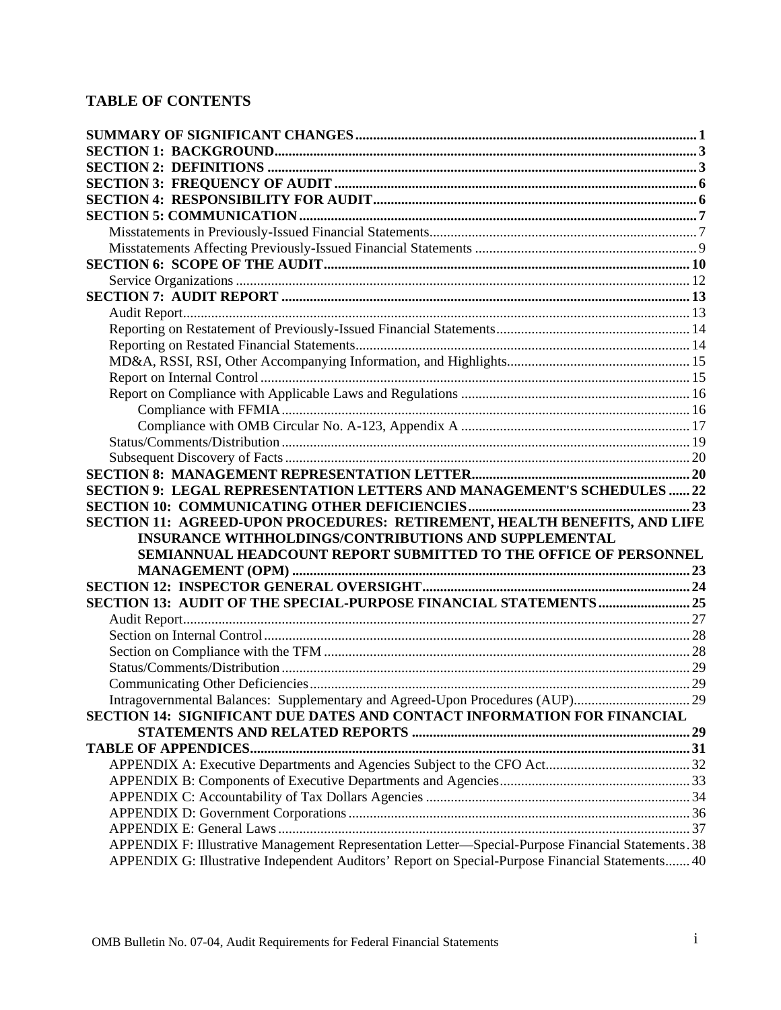## **TABLE OF CONTENTS**

| SECTION 9: LEGAL REPRESENTATION LETTERS AND MANAGEMENT'S SCHEDULES  22                                                                                                                                 |  |
|--------------------------------------------------------------------------------------------------------------------------------------------------------------------------------------------------------|--|
|                                                                                                                                                                                                        |  |
|                                                                                                                                                                                                        |  |
| SECTION 11: AGREED-UPON PROCEDURES: RETIREMENT, HEALTH BENEFITS, AND LIFE                                                                                                                              |  |
| INSURANCE WITHHOLDINGS/CONTRIBUTIONS AND SUPPLEMENTAL                                                                                                                                                  |  |
| SEMIANNUAL HEADCOUNT REPORT SUBMITTED TO THE OFFICE OF PERSONNEL                                                                                                                                       |  |
|                                                                                                                                                                                                        |  |
|                                                                                                                                                                                                        |  |
|                                                                                                                                                                                                        |  |
|                                                                                                                                                                                                        |  |
|                                                                                                                                                                                                        |  |
|                                                                                                                                                                                                        |  |
|                                                                                                                                                                                                        |  |
|                                                                                                                                                                                                        |  |
| Intragovernmental Balances: Supplementary and Agreed-Upon Procedures (AUP)29<br>SECTION 14: SIGNIFICANT DUE DATES AND CONTACT INFORMATION FOR FINANCIAL                                                |  |
|                                                                                                                                                                                                        |  |
|                                                                                                                                                                                                        |  |
|                                                                                                                                                                                                        |  |
|                                                                                                                                                                                                        |  |
|                                                                                                                                                                                                        |  |
|                                                                                                                                                                                                        |  |
|                                                                                                                                                                                                        |  |
| APPENDIX F: Illustrative Management Representation Letter—Special-Purpose Financial Statements. 38<br>APPENDIX G: Illustrative Independent Auditors' Report on Special-Purpose Financial Statements 40 |  |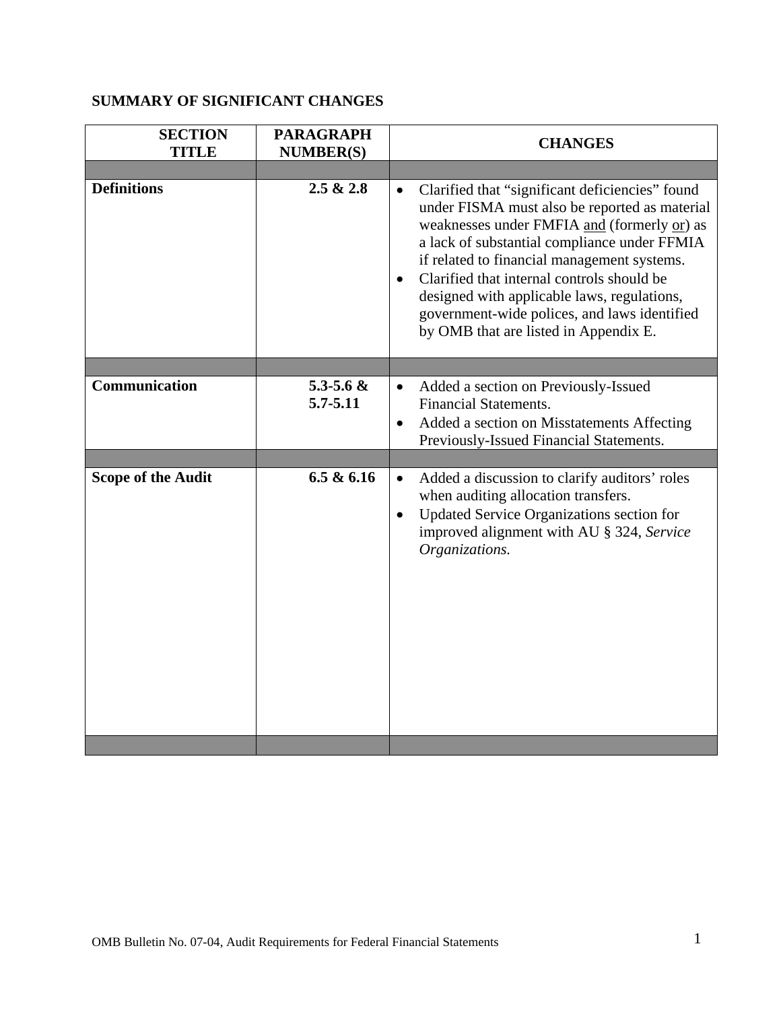## <span id="page-1-0"></span>**SUMMARY OF SIGNIFICANT CHANGES**

| <b>SECTION</b><br><b>TITLE</b>             | <b>PARAGRAPH</b><br><b>NUMBER(S)</b>       | <b>CHANGES</b>                                                                                                                                                                                                                                                                                                                                                                                                                                                 |
|--------------------------------------------|--------------------------------------------|----------------------------------------------------------------------------------------------------------------------------------------------------------------------------------------------------------------------------------------------------------------------------------------------------------------------------------------------------------------------------------------------------------------------------------------------------------------|
| <b>Definitions</b>                         | 2.5 & 2.8                                  | Clarified that "significant deficiencies" found<br>$\bullet$<br>under FISMA must also be reported as material<br>weaknesses under FMFIA and (formerly or) as<br>a lack of substantial compliance under FFMIA<br>if related to financial management systems.<br>Clarified that internal controls should be<br>$\bullet$<br>designed with applicable laws, regulations,<br>government-wide polices, and laws identified<br>by OMB that are listed in Appendix E. |
|                                            |                                            |                                                                                                                                                                                                                                                                                                                                                                                                                                                                |
| Communication<br><b>Scope of the Audit</b> | 5.3-5.6 $\&$<br>$5.7 - 5.11$<br>6.5 & 6.16 | Added a section on Previously-Issued<br>$\bullet$<br><b>Financial Statements.</b><br>Added a section on Misstatements Affecting<br>$\bullet$<br>Previously-Issued Financial Statements.<br>Added a discussion to clarify auditors' roles<br>$\bullet$                                                                                                                                                                                                          |
|                                            |                                            | when auditing allocation transfers.<br>Updated Service Organizations section for<br>$\bullet$<br>improved alignment with AU § 324, Service<br>Organizations.                                                                                                                                                                                                                                                                                                   |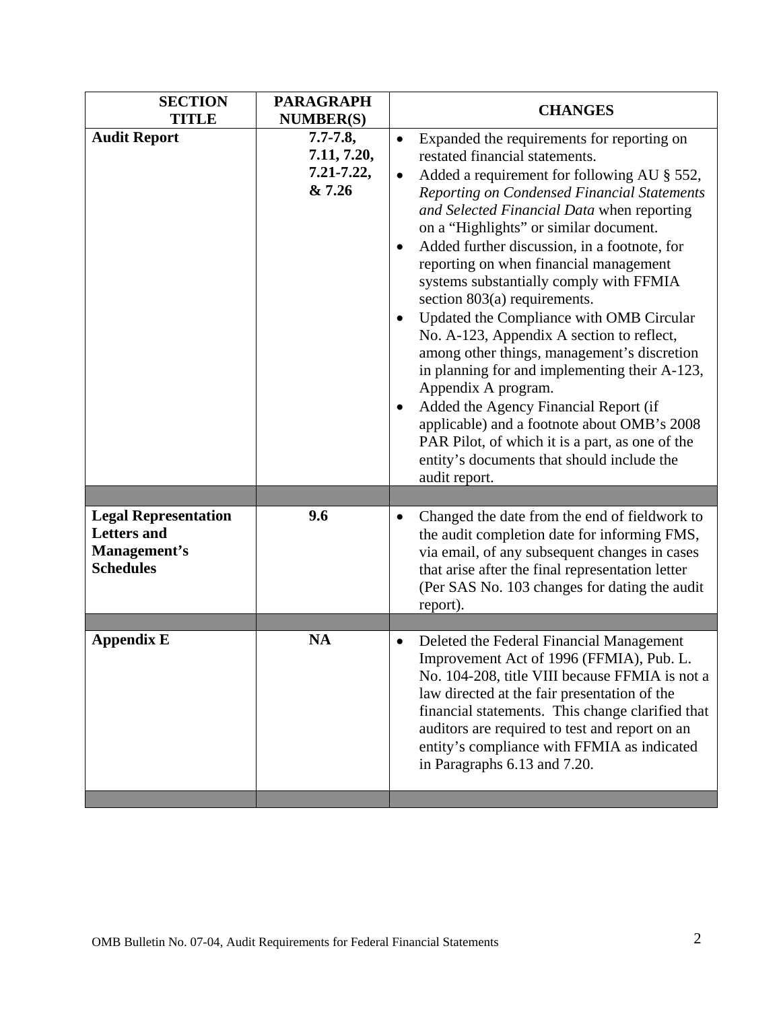| <b>SECTION</b><br><b>TITLE</b>                    | <b>PARAGRAPH</b><br><b>NUMBER(S)</b>                 | <b>CHANGES</b>                                                                                                                                                                                                                                                                                                                                                                                                                                                                                                                                                                                                                                                                                                                                                                                                                                                                                   |
|---------------------------------------------------|------------------------------------------------------|--------------------------------------------------------------------------------------------------------------------------------------------------------------------------------------------------------------------------------------------------------------------------------------------------------------------------------------------------------------------------------------------------------------------------------------------------------------------------------------------------------------------------------------------------------------------------------------------------------------------------------------------------------------------------------------------------------------------------------------------------------------------------------------------------------------------------------------------------------------------------------------------------|
| <b>Audit Report</b>                               | $7.7 - 7.8$ ,<br>7.11, 7.20,<br>7.21-7.22,<br>& 7.26 | Expanded the requirements for reporting on<br>$\bullet$<br>restated financial statements.<br>Added a requirement for following AU § 552,<br>Reporting on Condensed Financial Statements<br>and Selected Financial Data when reporting<br>on a "Highlights" or similar document.<br>Added further discussion, in a footnote, for<br>٠<br>reporting on when financial management<br>systems substantially comply with FFMIA<br>section 803(a) requirements.<br>Updated the Compliance with OMB Circular<br>No. A-123, Appendix A section to reflect,<br>among other things, management's discretion<br>in planning for and implementing their A-123,<br>Appendix A program.<br>Added the Agency Financial Report (if<br>$\bullet$<br>applicable) and a footnote about OMB's 2008<br>PAR Pilot, of which it is a part, as one of the<br>entity's documents that should include the<br>audit report. |
| <b>Legal Representation</b><br><b>Letters</b> and | 9.6                                                  | Changed the date from the end of fieldwork to<br>$\bullet$<br>the audit completion date for informing FMS,                                                                                                                                                                                                                                                                                                                                                                                                                                                                                                                                                                                                                                                                                                                                                                                       |
| Management's<br><b>Schedules</b>                  |                                                      | via email, of any subsequent changes in cases<br>that arise after the final representation letter<br>(Per SAS No. 103 changes for dating the audit<br>report).                                                                                                                                                                                                                                                                                                                                                                                                                                                                                                                                                                                                                                                                                                                                   |
|                                                   |                                                      |                                                                                                                                                                                                                                                                                                                                                                                                                                                                                                                                                                                                                                                                                                                                                                                                                                                                                                  |
| <b>Appendix E</b>                                 | <b>NA</b>                                            | Deleted the Federal Financial Management<br>$\bullet$<br>Improvement Act of 1996 (FFMIA), Pub. L.<br>No. 104-208, title VIII because FFMIA is not a<br>law directed at the fair presentation of the<br>financial statements. This change clarified that<br>auditors are required to test and report on an<br>entity's compliance with FFMIA as indicated<br>in Paragraphs 6.13 and 7.20.                                                                                                                                                                                                                                                                                                                                                                                                                                                                                                         |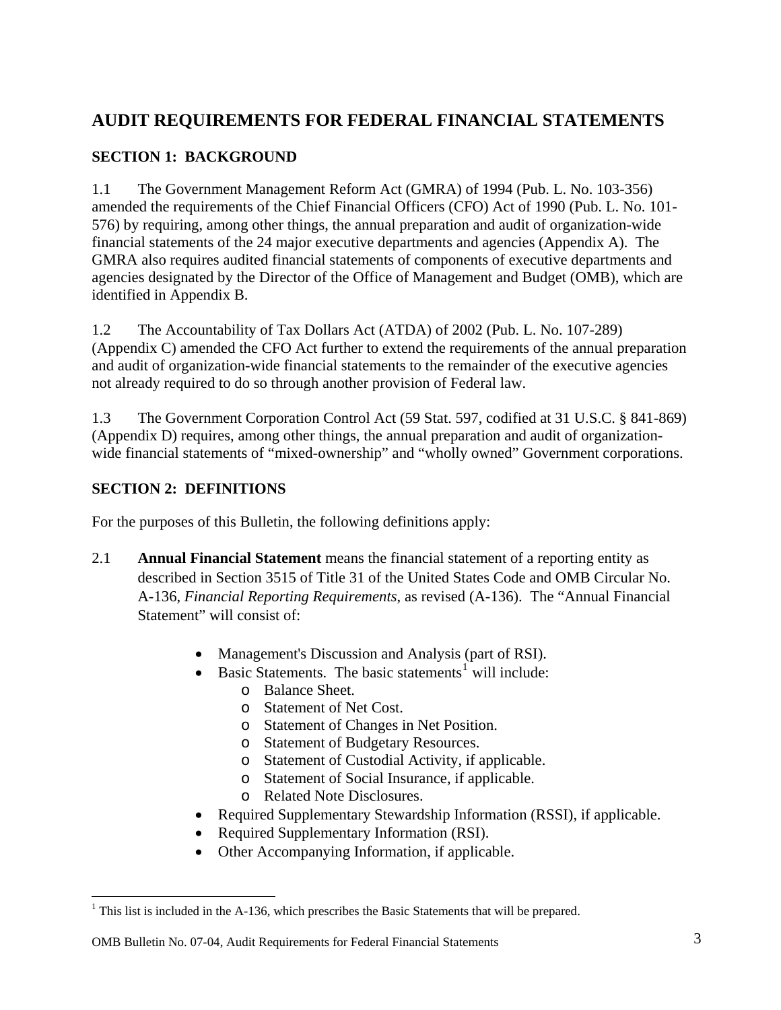# <span id="page-3-0"></span>**AUDIT REQUIREMENTS FOR FEDERAL FINANCIAL STATEMENTS**

## **SECTION 1: BACKGROUND**

1.1 The Government Management Reform Act (GMRA) of 1994 (Pub. L. No. 103-356) amended the requirements of the Chief Financial Officers (CFO) Act of 1990 (Pub. L. No. 101- 576) by requiring, among other things, the annual preparation and audit of organization-wide financial statements of the 24 major executive departments and agencies (Appendix A). The GMRA also requires audited financial statements of components of executive departments and agencies designated by the Director of the Office of Management and Budget (OMB), which are identified in Appendix B.

1.2 The Accountability of Tax Dollars Act (ATDA) of 2002 (Pub. L. No. 107-289) (Appendix C) amended the CFO Act further to extend the requirements of the annual preparation and audit of organization-wide financial statements to the remainder of the executive agencies not already required to do so through another provision of Federal law.

1.3 The Government Corporation Control Act (59 Stat. 597, codified at 31 U.S.C. § 841-869) (Appendix D) requires, among other things, the annual preparation and audit of organizationwide financial statements of "mixed-ownership" and "wholly owned" Government corporations.

## **SECTION 2: DEFINITIONS**

<u>.</u>

For the purposes of this Bulletin, the following definitions apply:

- 2.1 **Annual Financial Statement** means the financial statement of a reporting entity as described in Section 3515 of Title 31 of the United States Code and OMB Circular No. A-136, *Financial Reporting Requirements*, as revised (A-136). The "Annual Financial Statement" will consist of:
	- Management's Discussion and Analysis (part of RSI).
	- Basic Statements. The basic statements<sup>[1](#page-3-1)</sup> will include:
		- o Balance Sheet.
		- o Statement of Net Cost.
		- o Statement of Changes in Net Position.
		- o Statement of Budgetary Resources.
		- o Statement of Custodial Activity, if applicable.
		- o Statement of Social Insurance, if applicable.
		- o Related Note Disclosures.
	- Required Supplementary Stewardship Information (RSSI), if applicable.
	- Required Supplementary Information (RSI).
	- Other Accompanying Information, if applicable.

<span id="page-3-1"></span><sup>&</sup>lt;sup>1</sup> This list is included in the A-136, which prescribes the Basic Statements that will be prepared.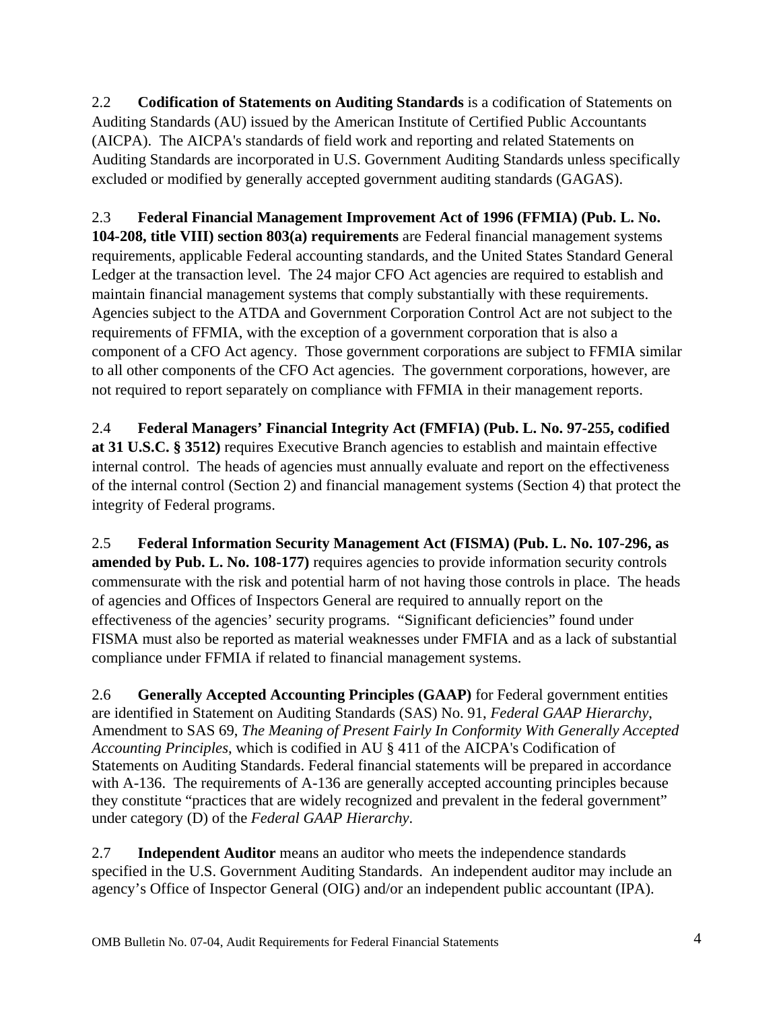2.2 **Codification of Statements on Auditing Standards** is a codification of Statements on Auditing Standards (AU) issued by the American Institute of Certified Public Accountants (AICPA). The AICPA's standards of field work and reporting and related Statements on Auditing Standards are incorporated in U.S. Government Auditing Standards unless specifically excluded or modified by generally accepted government auditing standards (GAGAS).

# 2.3 **Federal Financial Management Improvement Act of 1996 (FFMIA) (Pub. L. No.**

**104-208, title VIII) section 803(a) requirements** are Federal financial management systems requirements, applicable Federal accounting standards, and the United States Standard General Ledger at the transaction level. The 24 major CFO Act agencies are required to establish and maintain financial management systems that comply substantially with these requirements. Agencies subject to the ATDA and Government Corporation Control Act are not subject to the requirements of FFMIA, with the exception of a government corporation that is also a component of a CFO Act agency. Those government corporations are subject to FFMIA similar to all other components of the CFO Act agencies. The government corporations, however, are not required to report separately on compliance with FFMIA in their management reports.

2.4 **Federal Managers' Financial Integrity Act (FMFIA) (Pub. L. No. 97-255, codified at 31 U.S.C. § 3512)** requires Executive Branch agencies to establish and maintain effective internal control. The heads of agencies must annually evaluate and report on the effectiveness of the internal control (Section 2) and financial management systems (Section 4) that protect the integrity of Federal programs.

2.5 **Federal Information Security Management Act (FISMA) (Pub. L. No. 107-296, as amended by Pub. L. No. 108-177)** requires agencies to provide information security controls commensurate with the risk and potential harm of not having those controls in place. The heads of agencies and Offices of Inspectors General are required to annually report on the effectiveness of the agencies' security programs. "Significant deficiencies" found under FISMA must also be reported as material weaknesses under FMFIA and as a lack of substantial compliance under FFMIA if related to financial management systems.

2.6 **Generally Accepted Accounting Principles (GAAP)** for Federal government entities are identified in Statement on Auditing Standards (SAS) No. 91, *Federal GAAP Hierarchy*, Amendment to SAS 69, *The Meaning of Present Fairly In Conformity With Generally Accepted Accounting Principles*, which is codified in AU § 411 of the AICPA's Codification of Statements on Auditing Standards. Federal financial statements will be prepared in accordance with A-136. The requirements of A-136 are generally accepted accounting principles because they constitute "practices that are widely recognized and prevalent in the federal government" under category (D) of the *Federal GAAP Hierarchy*.

2.7 **Independent Auditor** means an auditor who meets the independence standards specified in the U.S. Government Auditing Standards. An independent auditor may include an agency's Office of Inspector General (OIG) and/or an independent public accountant (IPA).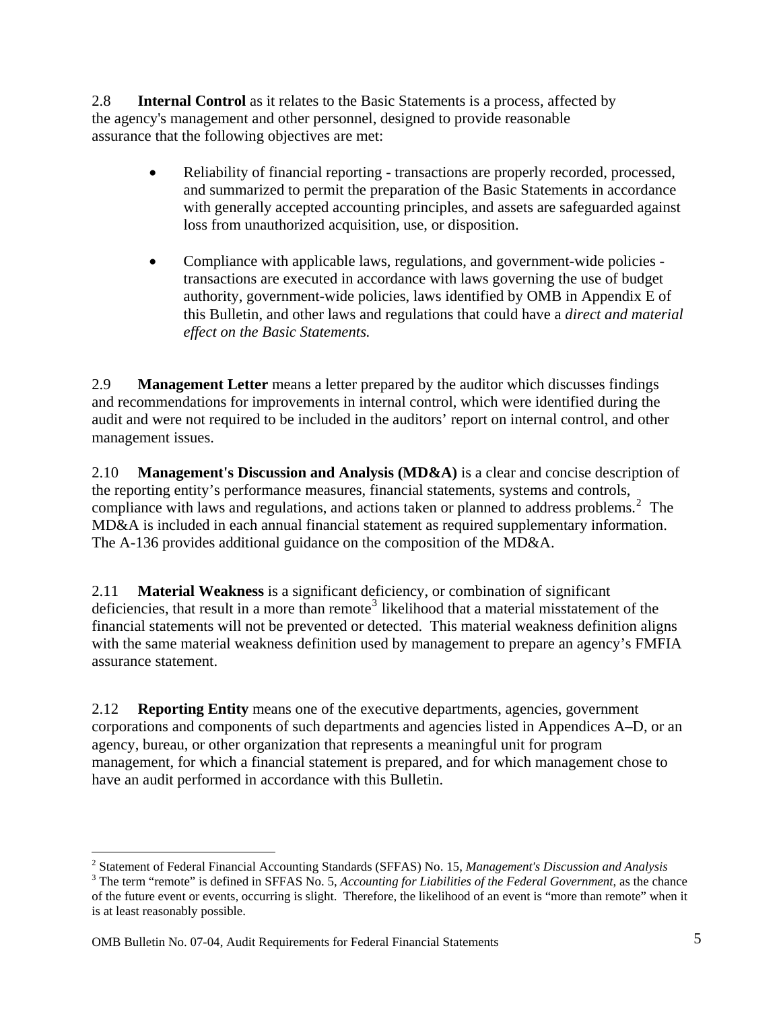2.8 **Internal Control** as it relates to the Basic Statements is a process, affected by the agency's management and other personnel, designed to provide reasonable assurance that the following objectives are met:

- Reliability of financial reporting transactions are properly recorded, processed, and summarized to permit the preparation of the Basic Statements in accordance with generally accepted accounting principles, and assets are safeguarded against loss from unauthorized acquisition, use, or disposition.
- Compliance with applicable laws, regulations, and government-wide policies transactions are executed in accordance with laws governing the use of budget authority, government-wide policies, laws identified by OMB in Appendix E of this Bulletin, and other laws and regulations that could have a *direct and material effect on the Basic Statements.*

2.9 **Management Letter** means a letter prepared by the auditor which discusses findings and recommendations for improvements in internal control, which were identified during the audit and were not required to be included in the auditors' report on internal control, and other management issues.

2.10 **Management's Discussion and Analysis (MD&A)** is a clear and concise description of the reporting entity's performance measures, financial statements, systems and controls, compliance with laws and regulations, and actions taken or planned to address problems.<sup>[2](#page-5-0)</sup> The MD&A is included in each annual financial statement as required supplementary information. The A-136 provides additional guidance on the composition of the MD&A.

2.11 **Material Weakness** is a significant deficiency, or combination of significant deficiencies, that result in a more than remote<sup>[3](#page-5-1)</sup> likelihood that a material misstatement of the financial statements will not be prevented or detected. This material weakness definition aligns with the same material weakness definition used by management to prepare an agency's FMFIA assurance statement.

2.12 **Reporting Entity** means one of the executive departments, agencies, government corporations and components of such departments and agencies listed in Appendices A–D, or an agency, bureau, or other organization that represents a meaningful unit for program management, for which a financial statement is prepared, and for which management chose to have an audit performed in accordance with this Bulletin.

OMB Bulletin No. 07-04, Audit Requirements for Federal Financial Statements 5

 $\overline{a}$ 

<span id="page-5-0"></span><sup>&</sup>lt;sup>2</sup> Statement of Federal Financial Accounting Standards (SFFAS) No. 15, *Management's Discussion and Analysis* 3<br><sup>3</sup> The term "remote" is defined in SEEAS No. 5, *Accounting for Lightlities of the Eederal Covernment, as th* 

<span id="page-5-1"></span><sup>&</sup>lt;sup>3</sup> The term "remote" is defined in SFFAS No. 5, *Accounting for Liabilities of the Federal Government*, as the chance of the future event or events, occurring is slight. Therefore, the likelihood of an event is "more than remote" when it is at least reasonably possible.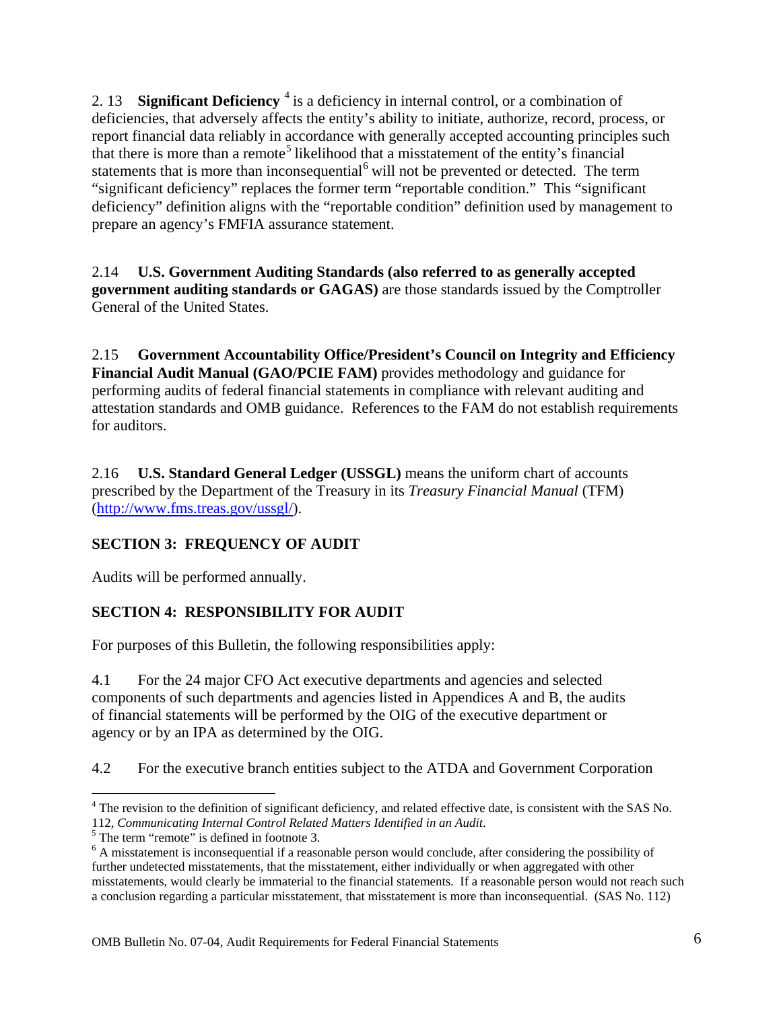<span id="page-6-0"></span>2. 13 **Significant Deficiency** <sup>[4](#page-6-1)</sup> is a deficiency in internal control, or a combination of deficiencies, that adversely affects the entity's ability to initiate, authorize, record, process, or report financial data reliably in accordance with generally accepted accounting principles such that there is more than a remote<sup>[5](#page-6-2)</sup> likelihood that a misstatement of the entity's financial statements that is more than inconsequential<sup>[6](#page-6-3)</sup> will not be prevented or detected. The term "significant deficiency" replaces the former term "reportable condition." This "significant deficiency" definition aligns with the "reportable condition" definition used by management to prepare an agency's FMFIA assurance statement.

2.14 **U.S. Government Auditing Standards (also referred to as generally accepted government auditing standards or GAGAS)** are those standards issued by the Comptroller General of the United States.

2.15 **Government Accountability Office/President's Council on Integrity and Efficiency Financial Audit Manual (GAO/PCIE FAM)** provides methodology and guidance for performing audits of federal financial statements in compliance with relevant auditing and attestation standards and OMB guidance. References to the FAM do not establish requirements for auditors.

2.16 **U.S. Standard General Ledger (USSGL)** means the uniform chart of accounts prescribed by the Department of the Treasury in its *Treasury Financial Manual* (TFM) ([http://www.fms.treas.gov/ussgl/\)](http://www.fms.treas.gov/ussgl/).

## **SECTION 3: FREQUENCY OF AUDIT**

Audits will be performed annually.

## **SECTION 4: RESPONSIBILITY FOR AUDIT**

For purposes of this Bulletin, the following responsibilities apply:

4.1 For the 24 major CFO Act executive departments and agencies and selected components of such departments and agencies listed in Appendices A and B, the audits of financial statements will be performed by the OIG of the executive department or agency or by an IPA as determined by the OIG.

4.2 For the executive branch entities subject to the ATDA and Government Corporation

 $\overline{a}$ 

<span id="page-6-1"></span><sup>&</sup>lt;sup>4</sup> The revision to the definition of significant deficiency, and related effective date, is consistent with the SAS No. 112, *Communicating Internal Control Related Matters Identified in an Audit*. 5

<span id="page-6-2"></span> $5$  The term "remote" is defined in footnote 3.

<span id="page-6-3"></span><sup>&</sup>lt;sup>6</sup> A misstatement is inconsequential if a reasonable person would conclude, after considering the possibility of further undetected misstatements, that the misstatement, either individually or when aggregated with other misstatements, would clearly be immaterial to the financial statements. If a reasonable person would not reach such a conclusion regarding a particular misstatement, that misstatement is more than inconsequential. (SAS No. 112)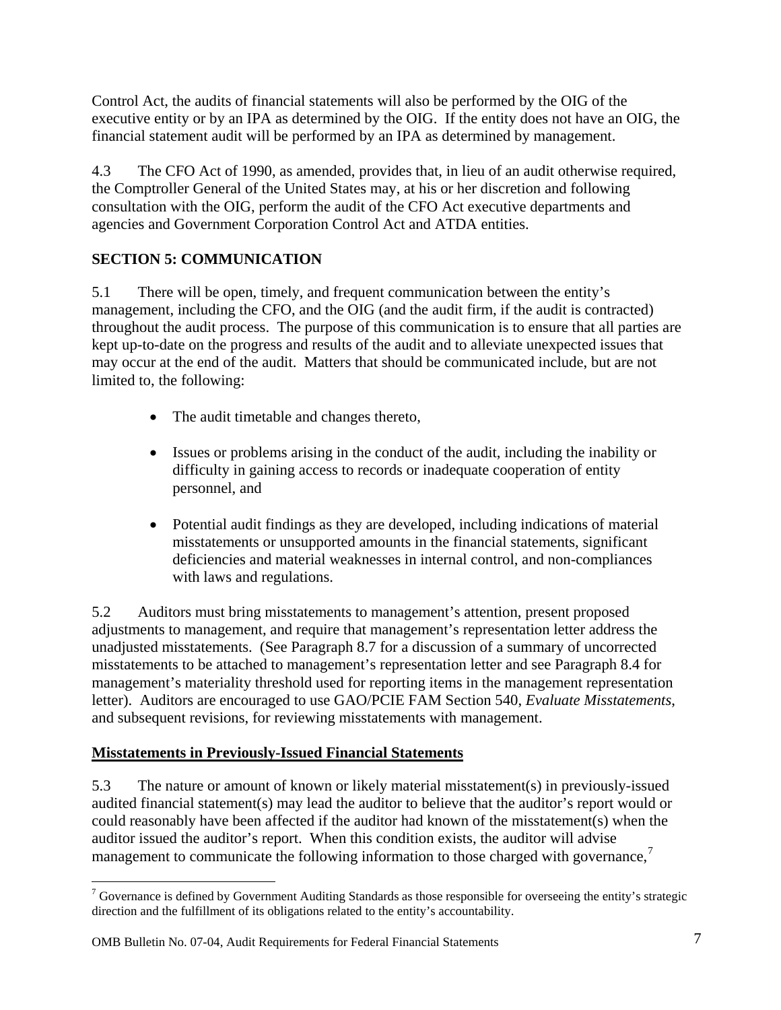<span id="page-7-0"></span>Control Act, the audits of financial statements will also be performed by the OIG of the executive entity or by an IPA as determined by the OIG. If the entity does not have an OIG, the financial statement audit will be performed by an IPA as determined by management.

4.3 The CFO Act of 1990, as amended, provides that, in lieu of an audit otherwise required, the Comptroller General of the United States may, at his or her discretion and following consultation with the OIG, perform the audit of the CFO Act executive departments and agencies and Government Corporation Control Act and ATDA entities.

## **SECTION 5: COMMUNICATION**

5.1 There will be open, timely, and frequent communication between the entity's management, including the CFO, and the OIG (and the audit firm, if the audit is contracted) throughout the audit process. The purpose of this communication is to ensure that all parties are kept up-to-date on the progress and results of the audit and to alleviate unexpected issues that may occur at the end of the audit. Matters that should be communicated include, but are not limited to, the following:

- The audit timetable and changes thereto,
- Issues or problems arising in the conduct of the audit, including the inability or difficulty in gaining access to records or inadequate cooperation of entity personnel, and
- Potential audit findings as they are developed, including indications of material misstatements or unsupported amounts in the financial statements, significant deficiencies and material weaknesses in internal control, and non-compliances with laws and regulations.

5.2 Auditors must bring misstatements to management's attention, present proposed adjustments to management, and require that management's representation letter address the unadjusted misstatements. (See Paragraph 8.7 for a discussion of a summary of uncorrected misstatements to be attached to management's representation letter and see Paragraph 8.4 for management's materiality threshold used for reporting items in the management representation letter). Auditors are encouraged to use GAO/PCIE FAM Section 540, *Evaluate Misstatements*, and subsequent revisions, for reviewing misstatements with management.

## **Misstatements in Previously-Issued Financial Statements**

5.3 The nature or amount of known or likely material misstatement(s) in previously-issued audited financial statement(s) may lead the auditor to believe that the auditor's report would or could reasonably have been affected if the auditor had known of the misstatement(s) when the auditor issued the auditor's report. When this condition exists, the auditor will advise management to communicate the following information to those charged with governance, $\frac{7}{1}$  $\frac{7}{1}$  $\frac{7}{1}$ 

<span id="page-7-1"></span><sup>1</sup>  $7$  Governance is defined by Government Auditing Standards as those responsible for overseeing the entity's strategic direction and the fulfillment of its obligations related to the entity's accountability.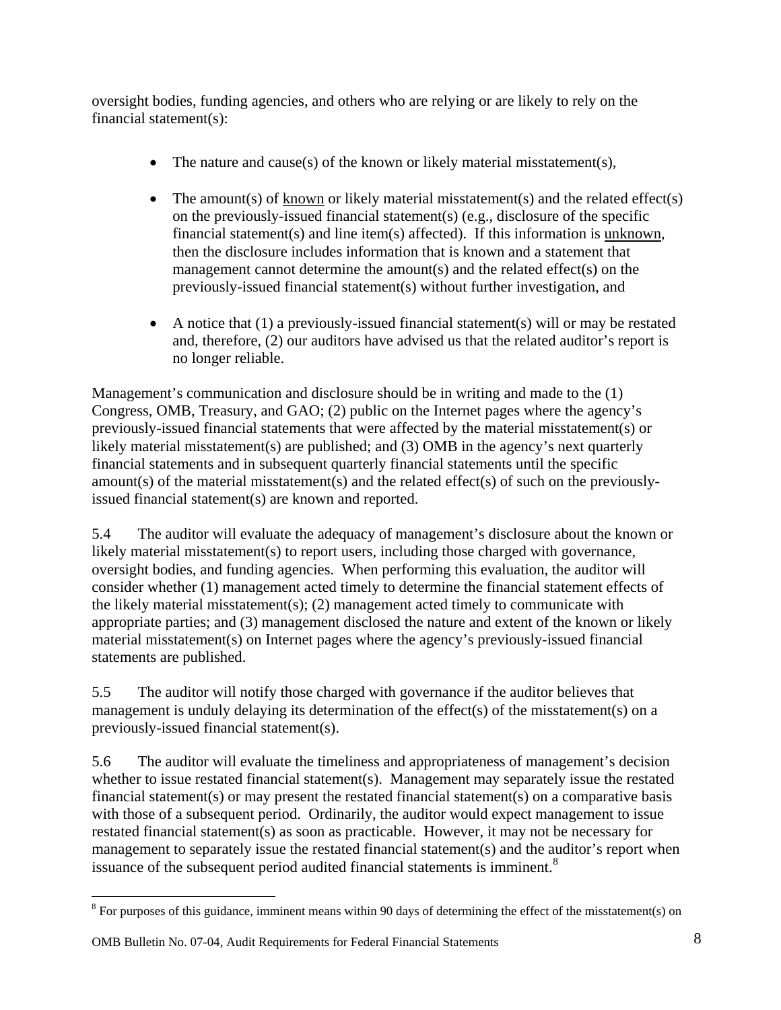oversight bodies, funding agencies, and others who are relying or are likely to rely on the financial statement(s):

- The nature and cause(s) of the known or likely material misstatement(s),
- The amount(s) of  $\frac{known}{x}$  or likely material misstatement(s) and the related effect(s) on the previously-issued financial statement(s) (e.g., disclosure of the specific financial statement(s) and line item(s) affected). If this information is unknown, then the disclosure includes information that is known and a statement that management cannot determine the amount(s) and the related effect(s) on the previously-issued financial statement(s) without further investigation, and
- A notice that  $(1)$  a previously-issued financial statement(s) will or may be restated and, therefore, (2) our auditors have advised us that the related auditor's report is no longer reliable.

Management's communication and disclosure should be in writing and made to the (1) Congress, OMB, Treasury, and GAO; (2) public on the Internet pages where the agency's previously-issued financial statements that were affected by the material misstatement(s) or likely material misstatement(s) are published; and (3) OMB in the agency's next quarterly financial statements and in subsequent quarterly financial statements until the specific amount(s) of the material misstatement(s) and the related effect(s) of such on the previouslyissued financial statement(s) are known and reported.

5.4 The auditor will evaluate the adequacy of management's disclosure about the known or likely material misstatement(s) to report users, including those charged with governance, oversight bodies, and funding agencies. When performing this evaluation, the auditor will consider whether (1) management acted timely to determine the financial statement effects of the likely material misstatement(s); (2) management acted timely to communicate with appropriate parties; and (3) management disclosed the nature and extent of the known or likely material misstatement(s) on Internet pages where the agency's previously-issued financial statements are published.

5.5 The auditor will notify those charged with governance if the auditor believes that management is unduly delaying its determination of the effect(s) of the misstatement(s) on a previously-issued financial statement(s).

5.6 The auditor will evaluate the timeliness and appropriateness of management's decision whether to issue restated financial statement(s). Management may separately issue the restated financial statement(s) or may present the restated financial statement(s) on a comparative basis with those of a subsequent period. Ordinarily, the auditor would expect management to issue restated financial statement(s) as soon as practicable. However, it may not be necessary for management to separately issue the restated financial statement(s) and the auditor's report when issuance of the subsequent period audited financial statements is imminent.<sup>[8](#page-8-0)</sup>

 $\overline{a}$ 

<span id="page-8-0"></span> $8$  For purposes of this guidance, imminent means within 90 days of determining the effect of the misstatement(s) on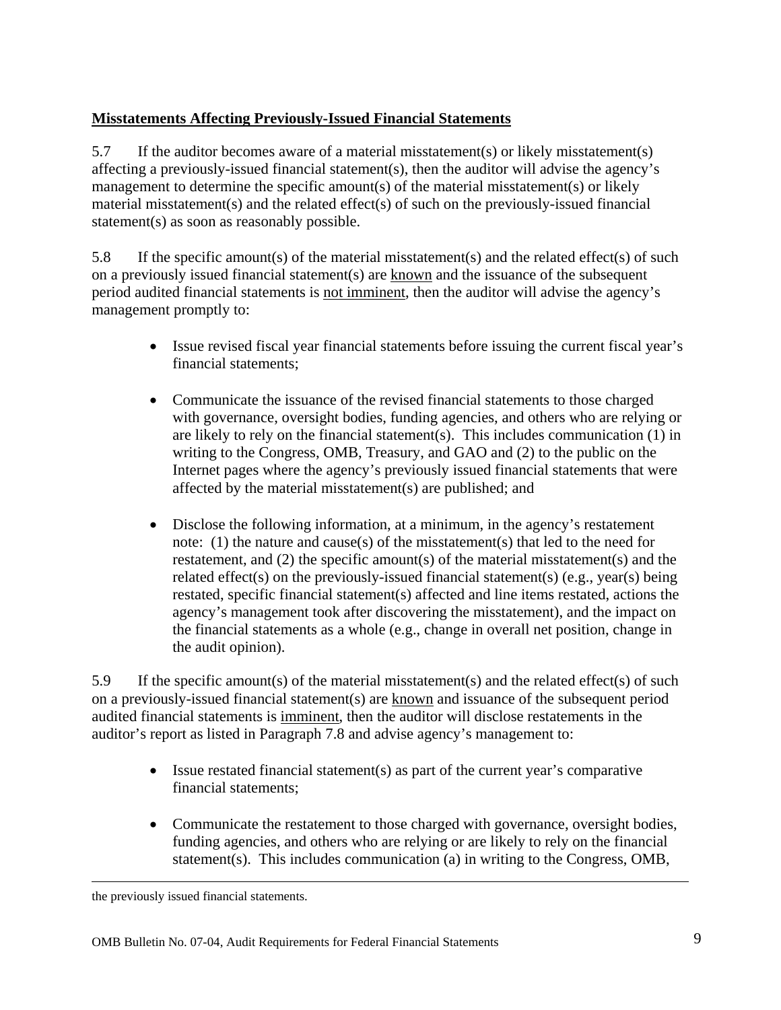## <span id="page-9-0"></span>**Misstatements Affecting Previously-Issued Financial Statements**

5.7 If the auditor becomes aware of a material misstatement(s) or likely misstatement(s) affecting a previously-issued financial statement(s), then the auditor will advise the agency's management to determine the specific amount(s) of the material misstatement(s) or likely material misstatement(s) and the related effect(s) of such on the previously-issued financial statement(s) as soon as reasonably possible.

5.8 If the specific amount(s) of the material misstatement(s) and the related effect(s) of such on a previously issued financial statement(s) are known and the issuance of the subsequent period audited financial statements is not imminent, then the auditor will advise the agency's management promptly to:

- Issue revised fiscal year financial statements before issuing the current fiscal year's financial statements;
- Communicate the issuance of the revised financial statements to those charged with governance, oversight bodies, funding agencies, and others who are relying or are likely to rely on the financial statement(s). This includes communication (1) in writing to the Congress, OMB, Treasury, and GAO and (2) to the public on the Internet pages where the agency's previously issued financial statements that were affected by the material misstatement(s) are published; and
- Disclose the following information, at a minimum, in the agency's restatement note: (1) the nature and cause(s) of the misstatement(s) that led to the need for restatement, and (2) the specific amount(s) of the material misstatement(s) and the related effect(s) on the previously-issued financial statement(s) (e.g., year(s) being restated, specific financial statement(s) affected and line items restated, actions the agency's management took after discovering the misstatement), and the impact on the financial statements as a whole (e.g., change in overall net position, change in the audit opinion).

5.9 If the specific amount(s) of the material misstatement(s) and the related effect(s) of such on a previously-issued financial statement(s) are known and issuance of the subsequent period audited financial statements is imminent, then the auditor will disclose restatements in the auditor's report as listed in Paragraph 7.8 and advise agency's management to:

- Issue restated financial statement(s) as part of the current year's comparative financial statements;
- Communicate the restatement to those charged with governance, oversight bodies, funding agencies, and others who are relying or are likely to rely on the financial statement(s). This includes communication (a) in writing to the Congress, OMB,

the previously issued financial statements.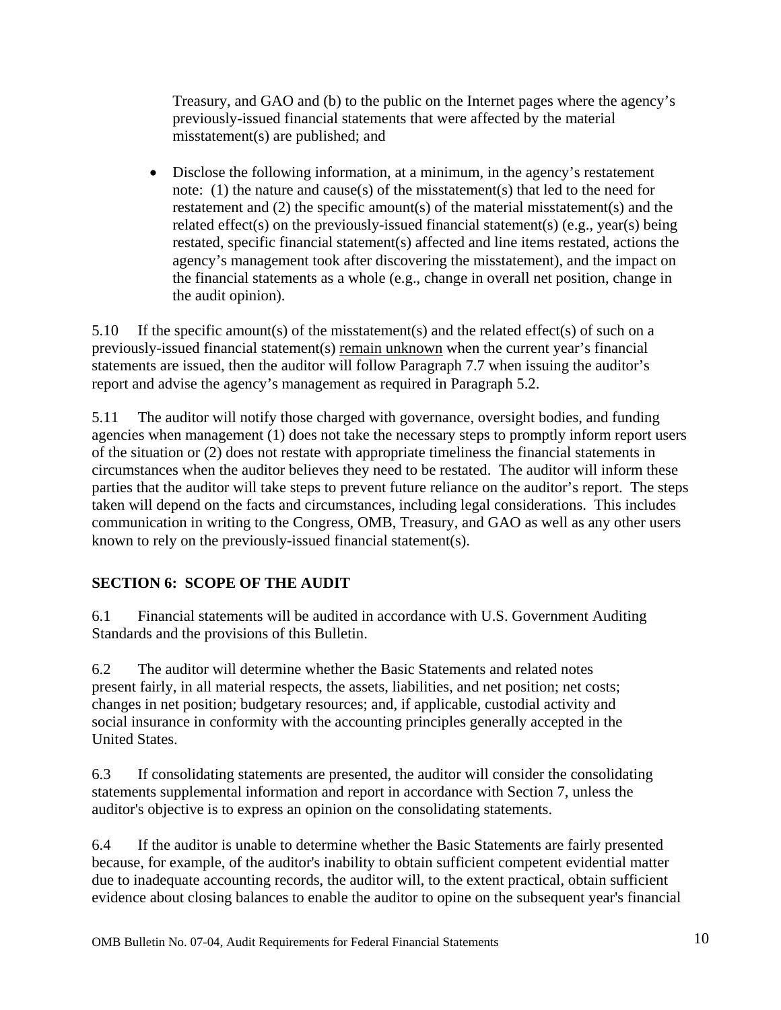<span id="page-10-0"></span>Treasury, and GAO and (b) to the public on the Internet pages where the agency's previously-issued financial statements that were affected by the material misstatement(s) are published; and

• Disclose the following information, at a minimum, in the agency's restatement note: (1) the nature and cause(s) of the misstatement(s) that led to the need for restatement and (2) the specific amount(s) of the material misstatement(s) and the related effect(s) on the previously-issued financial statement(s) (e.g., year(s) being restated, specific financial statement(s) affected and line items restated, actions the agency's management took after discovering the misstatement), and the impact on the financial statements as a whole (e.g., change in overall net position, change in the audit opinion).

5.10 If the specific amount(s) of the misstatement(s) and the related effect(s) of such on a previously-issued financial statement(s) remain unknown when the current year's financial statements are issued, then the auditor will follow Paragraph 7.7 when issuing the auditor's report and advise the agency's management as required in Paragraph 5.2.

5.11 The auditor will notify those charged with governance, oversight bodies, and funding agencies when management (1) does not take the necessary steps to promptly inform report users of the situation or (2) does not restate with appropriate timeliness the financial statements in circumstances when the auditor believes they need to be restated. The auditor will inform these parties that the auditor will take steps to prevent future reliance on the auditor's report. The steps taken will depend on the facts and circumstances, including legal considerations. This includes communication in writing to the Congress, OMB, Treasury, and GAO as well as any other users known to rely on the previously-issued financial statement(s).

## **SECTION 6: SCOPE OF THE AUDIT**

6.1 Financial statements will be audited in accordance with U.S. Government Auditing Standards and the provisions of this Bulletin.

6.2 The auditor will determine whether the Basic Statements and related notes present fairly, in all material respects, the assets, liabilities, and net position; net costs; changes in net position; budgetary resources; and, if applicable, custodial activity and social insurance in conformity with the accounting principles generally accepted in the United States.

6.3 If consolidating statements are presented, the auditor will consider the consolidating statements supplemental information and report in accordance with Section 7, unless the auditor's objective is to express an opinion on the consolidating statements.

6.4 If the auditor is unable to determine whether the Basic Statements are fairly presented because, for example, of the auditor's inability to obtain sufficient competent evidential matter due to inadequate accounting records, the auditor will, to the extent practical, obtain sufficient evidence about closing balances to enable the auditor to opine on the subsequent year's financial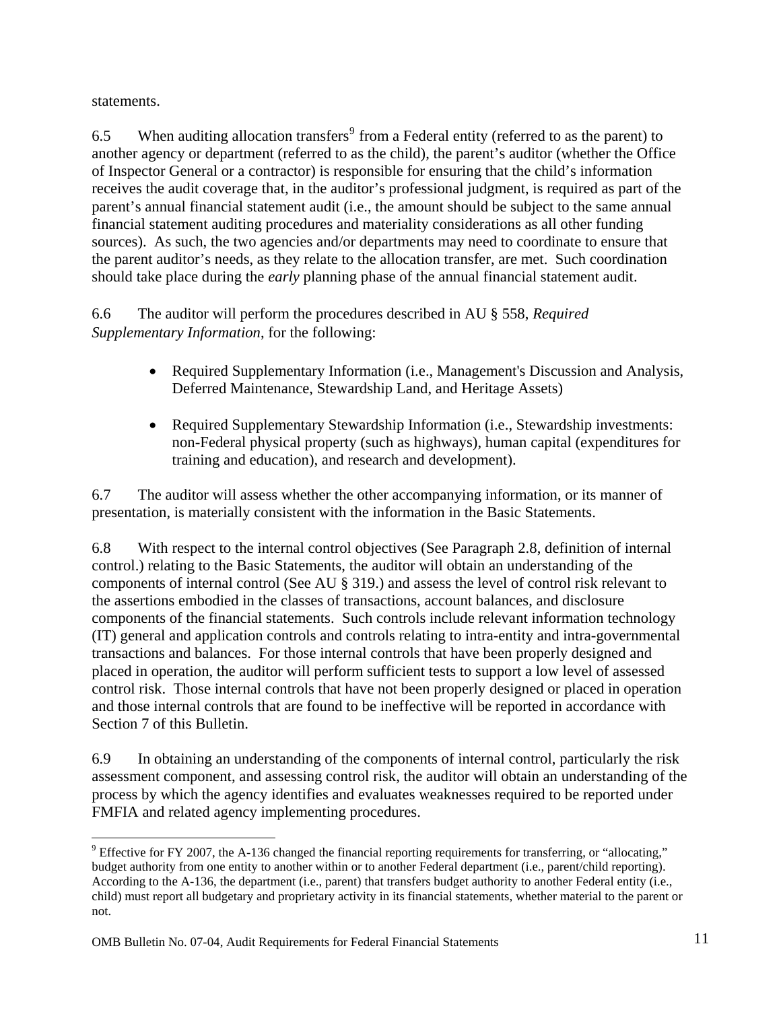statements.

 $\overline{a}$ 

6.5 When auditing allocation transfers<sup>[9](#page-11-0)</sup> from a Federal entity (referred to as the parent) to another agency or department (referred to as the child), the parent's auditor (whether the Office of Inspector General or a contractor) is responsible for ensuring that the child's information receives the audit coverage that, in the auditor's professional judgment, is required as part of the parent's annual financial statement audit (i.e., the amount should be subject to the same annual financial statement auditing procedures and materiality considerations as all other funding sources). As such, the two agencies and/or departments may need to coordinate to ensure that the parent auditor's needs, as they relate to the allocation transfer, are met. Such coordination should take place during the *early* planning phase of the annual financial statement audit.

6.6 The auditor will perform the procedures described in AU § 558, *Required Supplementary Information*, for the following:

- Required Supplementary Information (i.e., Management's Discussion and Analysis, Deferred Maintenance, Stewardship Land, and Heritage Assets)
- Required Supplementary Stewardship Information (i.e., Stewardship investments: non-Federal physical property (such as highways), human capital (expenditures for training and education), and research and development).

6.7 The auditor will assess whether the other accompanying information, or its manner of presentation, is materially consistent with the information in the Basic Statements.

6.8 With respect to the internal control objectives (See Paragraph 2.8, definition of internal control.) relating to the Basic Statements, the auditor will obtain an understanding of the components of internal control (See AU § 319.) and assess the level of control risk relevant to the assertions embodied in the classes of transactions, account balances, and disclosure components of the financial statements. Such controls include relevant information technology (IT) general and application controls and controls relating to intra-entity and intra-governmental transactions and balances. For those internal controls that have been properly designed and placed in operation, the auditor will perform sufficient tests to support a low level of assessed control risk. Those internal controls that have not been properly designed or placed in operation and those internal controls that are found to be ineffective will be reported in accordance with Section 7 of this Bulletin.

6.9 In obtaining an understanding of the components of internal control, particularly the risk assessment component, and assessing control risk, the auditor will obtain an understanding of the process by which the agency identifies and evaluates weaknesses required to be reported under FMFIA and related agency implementing procedures.

<span id="page-11-0"></span> $9$  Effective for FY 2007, the A-136 changed the financial reporting requirements for transferring, or "allocating," budget authority from one entity to another within or to another Federal department (i.e., parent/child reporting). According to the A-136, the department (i.e., parent) that transfers budget authority to another Federal entity (i.e., child) must report all budgetary and proprietary activity in its financial statements, whether material to the parent or not.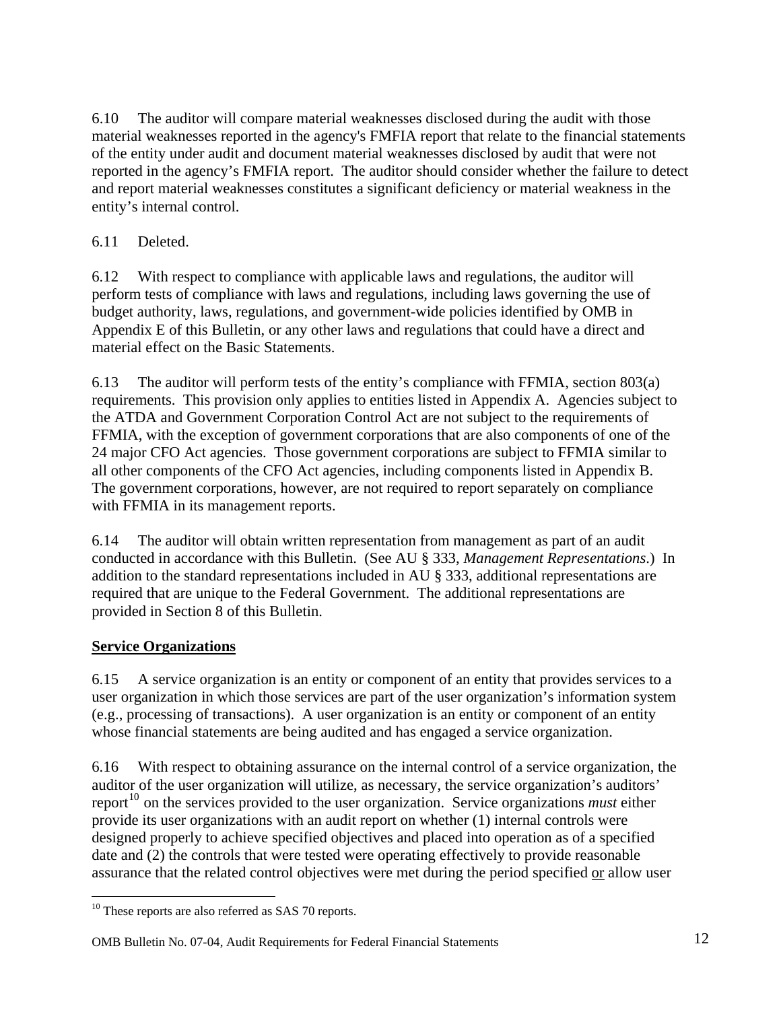<span id="page-12-0"></span>6.10 The auditor will compare material weaknesses disclosed during the audit with those material weaknesses reported in the agency's FMFIA report that relate to the financial statements of the entity under audit and document material weaknesses disclosed by audit that were not reported in the agency's FMFIA report. The auditor should consider whether the failure to detect and report material weaknesses constitutes a significant deficiency or material weakness in the entity's internal control.

## 6.11 Deleted.

6.12 With respect to compliance with applicable laws and regulations, the auditor will perform tests of compliance with laws and regulations, including laws governing the use of budget authority, laws, regulations, and government-wide policies identified by OMB in Appendix E of this Bulletin, or any other laws and regulations that could have a direct and material effect on the Basic Statements.

6.13 The auditor will perform tests of the entity's compliance with FFMIA, section 803(a) requirements. This provision only applies to entities listed in Appendix A. Agencies subject to the ATDA and Government Corporation Control Act are not subject to the requirements of FFMIA, with the exception of government corporations that are also components of one of the 24 major CFO Act agencies. Those government corporations are subject to FFMIA similar to all other components of the CFO Act agencies, including components listed in Appendix B. The government corporations, however, are not required to report separately on compliance with FFMIA in its management reports.

6.14 The auditor will obtain written representation from management as part of an audit conducted in accordance with this Bulletin. (See AU § 333, *Management Representations*.) In addition to the standard representations included in AU § 333, additional representations are required that are unique to the Federal Government. The additional representations are provided in Section 8 of this Bulletin.

## **Service Organizations**

6.15 A service organization is an entity or component of an entity that provides services to a user organization in which those services are part of the user organization's information system (e.g., processing of transactions). A user organization is an entity or component of an entity whose financial statements are being audited and has engaged a service organization.

6.16 With respect to obtaining assurance on the internal control of a service organization, the auditor of the user organization will utilize, as necessary, the service organization's auditors' report<sup>[10](#page-12-1)</sup> on the services provided to the user organization. Service organizations *must* either provide its user organizations with an audit report on whether (1) internal controls were designed properly to achieve specified objectives and placed into operation as of a specified date and (2) the controls that were tested were operating effectively to provide reasonable assurance that the related control objectives were met during the period specified or allow user

## OMB Bulletin No. 07-04, Audit Requirements for Federal Financial Statements 12

<span id="page-12-1"></span><sup>&</sup>lt;u>.</u> <sup>10</sup> These reports are also referred as SAS 70 reports.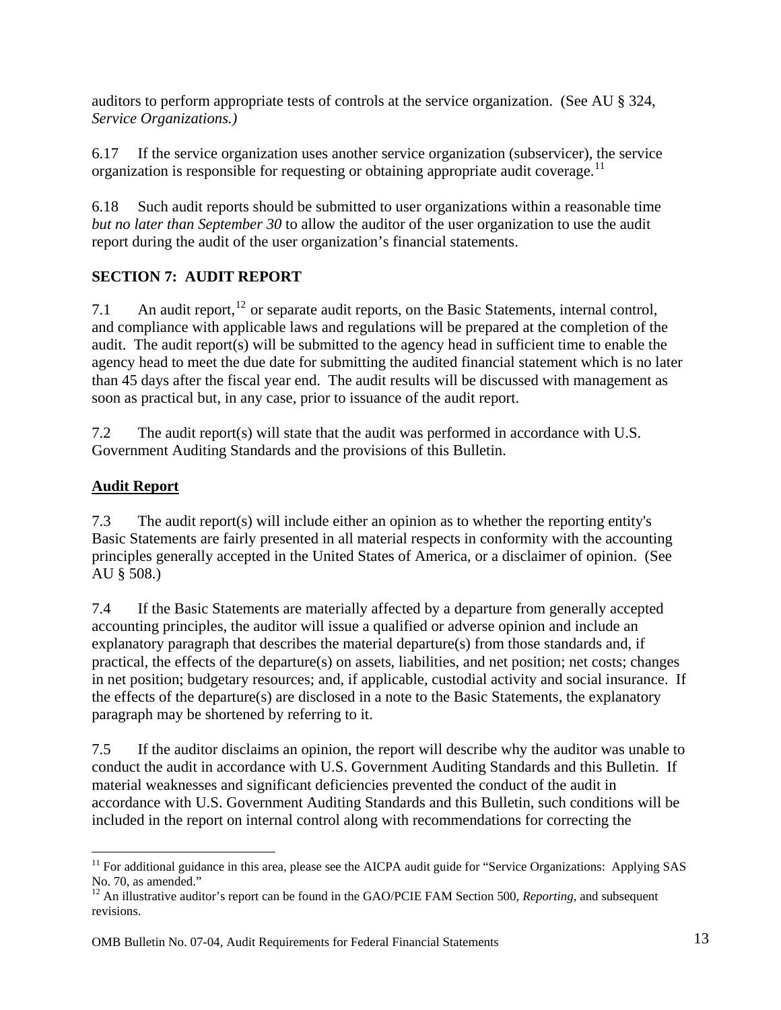<span id="page-13-0"></span>auditors to perform appropriate tests of controls at the service organization. (See AU § 324, *Service Organizations.)*

6.17 If the service organization uses another service organization (subservicer), the service organization is responsible for requesting or obtaining appropriate audit coverage.<sup>[11](#page-13-1)</sup>

6.18 Such audit reports should be submitted to user organizations within a reasonable time *but no later than September 30* to allow the auditor of the user organization to use the audit report during the audit of the user organization's financial statements.

# **SECTION 7: AUDIT REPORT**

7.1 An audit report,  $12$  or separate audit reports, on the Basic Statements, internal control, and compliance with applicable laws and regulations will be prepared at the completion of the audit. The audit report(s) will be submitted to the agency head in sufficient time to enable the agency head to meet the due date for submitting the audited financial statement which is no later than 45 days after the fiscal year end. The audit results will be discussed with management as soon as practical but, in any case, prior to issuance of the audit rep ort.

7.2 The audit report(s) will state that the audit was performed in accordance with U.S. Government Auditing Standards and the provisions of this Bulletin.

## **Audit Report**

 $\overline{a}$ 

7.3 The audit report(s) will include either an opinion as to whether the reporting entity's Basic Statements are fairly presented in all material respects in conformity with the accounting principles generally accepted in the United States of America, or a disclaimer of opinion. (See AU § 508.)

7.4 If the Basic Statements are materially affected by a departure from generally accepted accounting principles, the auditor will issue a qualified or adverse opinion and include an explanatory paragraph that describes the material departure(s) from those standards and, if practical, the effects of the departure(s) on assets, liabilities, and net position; net costs; changes in net position; budgetary resources; and, if applicable, custodial activity and social insurance. If the effects of the departure(s) are disclosed in a note to the Basic Statements, the explanatory paragraph may be shortened by referring to it.

7.5 If the auditor disclaims an opinion, the report will describe why the auditor was unable to conduct the audit in accordance with U.S. Government Auditing Standards and this Bulletin. If material weaknesses and significant deficiencies prevented the conduct of the audit in accordance with U.S. Government Auditing Standards and this Bulletin, such conditions will be included in the report on internal control along with recommendations for correcting the

<span id="page-13-1"></span> $11$  For additional guidance in this area, please see the AICPA audit guide for "Service Organizations: Applying SAS No. 70, as amended."

<span id="page-13-2"></span><sup>&</sup>lt;sup>12</sup> An illustrative auditor's report can be found in the GAO/PCIE FAM Section 500, *Reporting*, and subsequent revisions.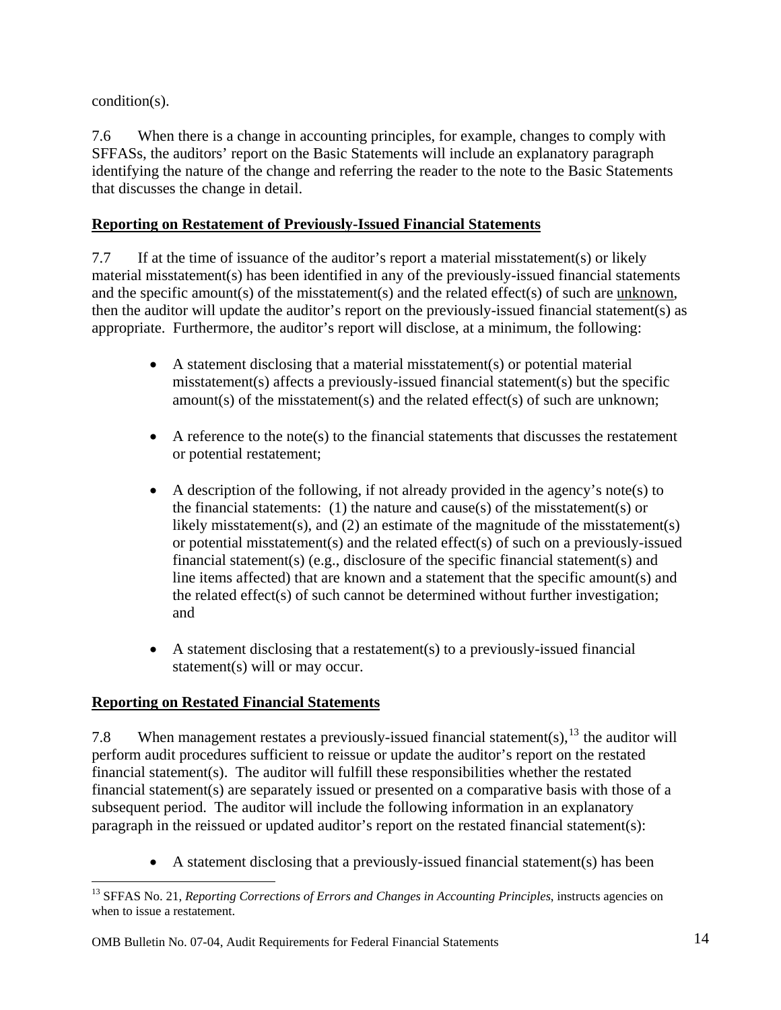<span id="page-14-0"></span>condition(s).

7.6 When there is a change in accounting principles, for example, changes to comply with SFFASs, the auditors' report on the Basic Statements will include an explanatory paragraph identifying the nature of the change and referring the reader to the note to the Basic Statements that discusses the change in detail.

## **Reporting on Restatement of Previously-Issued Financial Statements**

7.7 If at the time of issuance of the auditor's report a material misstatement(s) or likely material misstatement(s) has been identified in any of the previously-issued financial statements and the specific amount(s) of the misstatement(s) and the related effect(s) of such are unknown, then the auditor will update the auditor's report on the previously-issued financial statement(s) as appropriate. Furthermore, the auditor's report will disclose, at a minimum, the following:

- A statement disclosing that a material misstatement(s) or potential material misstatement(s) affects a previously-issued financial statement(s) but the specific amount(s) of the misstatement(s) and the related effect(s) of such are unknown;
- A reference to the note(s) to the financial statements that discusses the restatement or potential restatement;
- A description of the following, if not already provided in the agency's note(s) to the financial statements: (1) the nature and cause(s) of the misstatement(s) or likely misstatement(s), and (2) an estimate of the magnitude of the misstatement(s) or potential misstatement(s) and the related effect(s) of such on a previously-issued financial statement(s) (e.g., disclosure of the specific financial statement(s) and line items affected) that are known and a statement that the specific amount(s) and the related effect(s) of such cannot be determined without further investigation; and
- A statement disclosing that a restatement(s) to a previously-issued financial statement(s) will or may occur.

## **Reporting on Restated Financial Statements**

7.8 When management restates a previously-issued financial statement(s),  $^{13}$  $^{13}$  $^{13}$  the auditor will perform audit procedures sufficient to reissue or update the auditor's report on the restated financial statement(s). The auditor will fulfill these responsibilities whether the restated financial statement(s) are separately issued or presented on a comparative basis with those of a subsequent period. The auditor will include the following information in an explanatory paragraph in the reissued or updated auditor's report on the restated financial statement(s):

• A statement disclosing that a previously-issued financial statement(s) has been

<span id="page-14-1"></span> $\overline{a}$ <sup>13</sup> SFFAS No. 21, *Reporting Corrections of Errors and Changes in Accounting Principles*, instructs agencies on when to issue a restatement.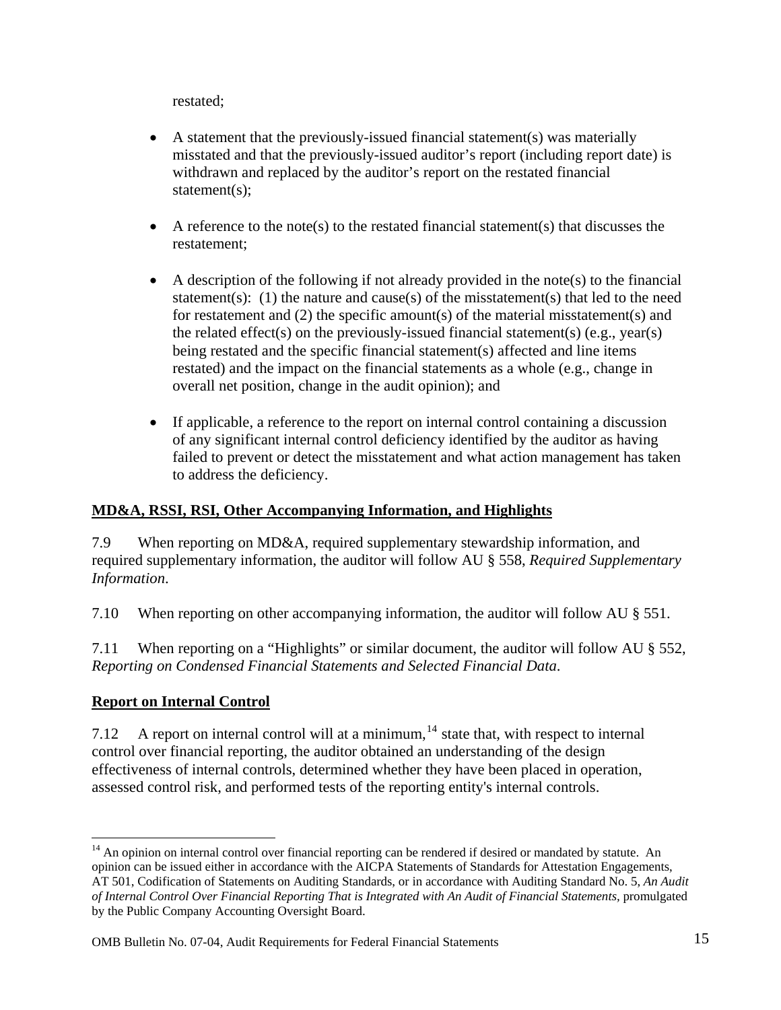<span id="page-15-0"></span>restated;

- A statement that the previously-issued financial statement(s) was materially misstated and that the previously-issued auditor's report (including report date) is withdrawn and replaced by the auditor's report on the restated financial statement(s);
- A reference to the note(s) to the restated financial statement(s) that discusses the restatement;
- A description of the following if not already provided in the note(s) to the financial statement(s): (1) the nature and cause(s) of the misstatement(s) that led to the need for restatement and (2) the specific amount(s) of the material misstatement(s) and the related effect(s) on the previously-issued financial statement(s) (e.g., year(s) being restated and the specific financial statement(s) affected and line items restated) and the impact on the financial statements as a whole (e.g., change in overall net position, change in the audit opinion); and
- If applicable, a reference to the report on internal control containing a discussion of any significant internal control deficiency identified by the auditor as having failed to prevent or detect the misstatement and what action management has taken to address the deficiency.

### **MD&A, RSSI, RSI, Other Accompanying Information, and Highlights**

7.9 When reporting on MD&A, required supplementary stewardship information, and required supplementary information, the auditor will follow AU § 558, *Required Supplementary Information*.

7.10 When reporting on other accompanying information, the auditor will follow AU § 551.

7.11 When reporting on a "Highlights" or similar document, the auditor will follow AU § 552, *Reporting on Condensed Financial Statements and Selected Financial Data*.

## **Report on Internal Control**

1

7.12 A report on internal control will at a minimum, $14$  state that, with respect to internal control over financial reporting, the auditor obtained an understanding of the design effectiveness of internal controls, determined whether they have been placed in operation, assessed control risk, and performed tests of the reporting entity's internal controls.

<span id="page-15-1"></span><sup>&</sup>lt;sup>14</sup> An opinion on internal control over financial reporting can be rendered if desired or mandated by statute. An opinion can be issued either in accordance with the AICPA Statements of Standards for Attestation Engagements, AT 501, Codification of Statements on Auditing Standards, or in accordance with Auditing Standard No. 5, *An Audit of Internal Control Over Financial Reporting That is Integrated with An Audit of Financial Statements,* promulgated by the Public Company Accounting Oversight Board.

OMB Bulletin No. 07-04, Audit Requirements for Federal Financial Statements 15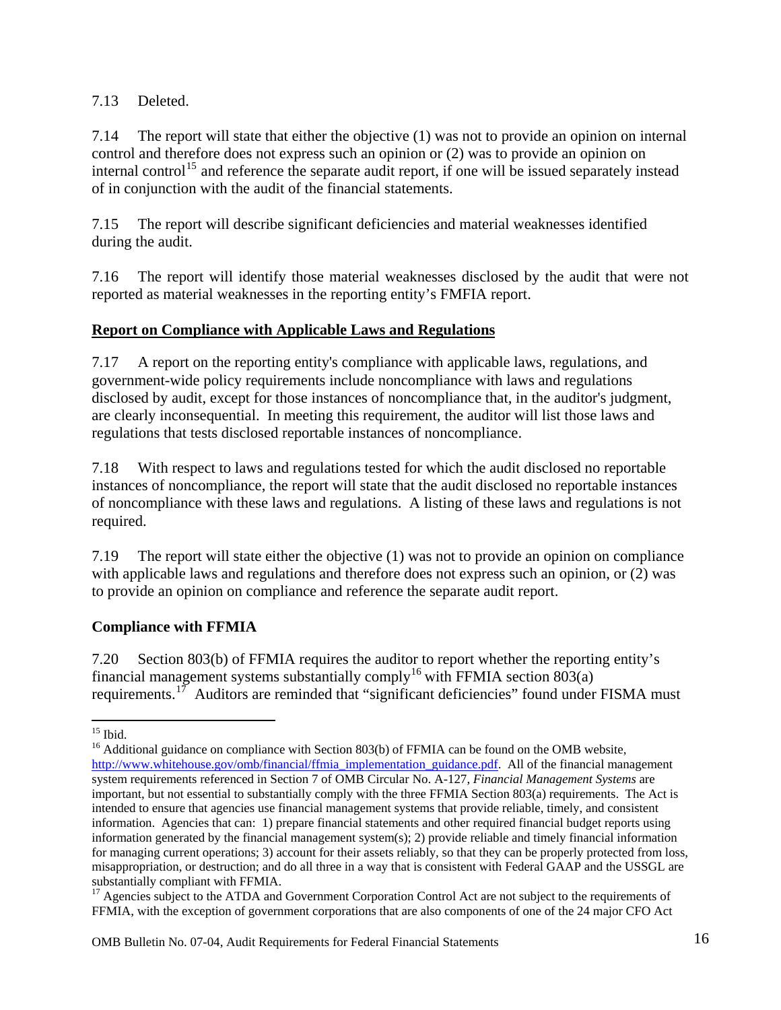<span id="page-16-0"></span>7.13 Deleted.

7.14 The report will state that either the objective (1) was not to provide an opinion on internal control and therefore does not express such an opinion or (2) was to provide an opinion on internal control<sup>[15](#page-16-1)</sup> and reference the separate audit report, if one will be issued separately instead of in conjunction with the audit of the financial statements.

7.15 The report will describe significant deficiencies and material weaknesses identified during the audit.

7.16 The report will identify those material weaknesses disclosed by the audit that were not reported as material weaknesses in the reporting entity's FMFIA report.

## **Report on Compliance with Applicable Laws and Regulations**

7.17 A report on the reporting entity's compliance with applicable laws, regulations, and government-wide policy requirements include noncompliance with laws and regulations disclosed by audit, except for those instances of noncompliance that, in the auditor's judgment, are clearly inconsequential. In meeting this requirement, the auditor will list those laws and regulations that tests disclosed reportable instances of noncompliance.

7.18 With respect to laws and regulations tested for which the audit disclosed no reportable instances of noncompliance, the report will state that the audit disclosed no reportable instances of noncompliance with these laws and regulations. A listing of these laws and regulations is not required.

7.19 The report will state either the objective (1) was not to provide an opinion on compliance with applicable laws and regulations and therefore does not express such an opinion, or (2) was to provide an opinion on compliance and reference the separate audit report.

#### **Compliance with FFMIA**

7.20 Section 803(b) of FFMIA requires the auditor to report whether the reporting entity's financial management systems substantially comply<sup>[16](#page-16-2)</sup> with FFMIA section 803(a) requirements.<sup>[17](#page-16-3)</sup> Auditors are reminded that "significant deficiencies" found under FISMA must

<sup>1</sup>  $15$  Ibid.

<span id="page-16-2"></span><span id="page-16-1"></span> $16$  Additional guidance on compliance with Section 803(b) of FFMIA can be found on the OMB website, [http://www.whitehouse.gov/omb/financial/ffmia\\_implementation\\_guidance.pdf.](http://www.whitehouse.gov/omb/financial/ffmia_implementation_guidance.pdf) All of the financial management system requirements referenced in Section 7 of OMB Circular No. A-127, *Financial Management Systems* are important, but not essential to substantially comply with the three FFMIA Section 803(a) requirements. The Act is intended to ensure that agencies use financial management systems that provide reliable, timely, and consistent information. Agencies that can: 1) prepare financial statements and other required financial budget reports using information generated by the financial management system(s); 2) provide reliable and timely financial information for managing current operations; 3) account for their assets reliably, so that they can be properly protected from loss, misappropriation, or destruction; and do all three in a way that is consistent with Federal GAAP and the USSGL are substantially compliant with FFMIA.

<span id="page-16-3"></span><sup>&</sup>lt;sup>17</sup> Agencies subject to the ATDA and Government Corporation Control Act are not subject to the requirements of FFMIA, with the exception of government corporations that are also components of one of the 24 major CFO Act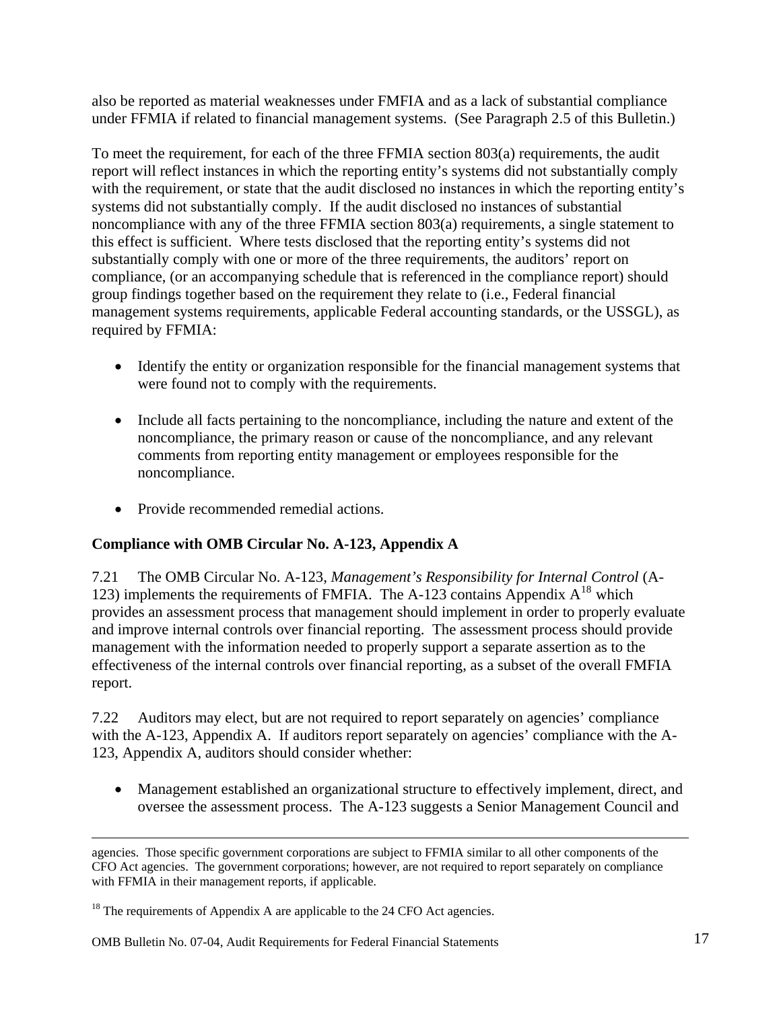<span id="page-17-0"></span>also be reported as material weaknesses under FMFIA and as a lack of substantial compliance under FFMIA if related to financial management systems. (See Paragraph 2.5 of this Bulletin.)

To meet the requirement, for each of the three FFMIA section 803(a) requirements, the audit report will reflect instances in which the reporting entity's systems did not substantially comply with the requirement, or state that the audit disclosed no instances in which the reporting entity's systems did not substantially comply. If the audit disclosed no instances of substantial noncompliance with any of the three FFMIA section 803(a) requirements, a single statement to this effect is sufficient. Where tests disclosed that the reporting entity's systems did not substantially comply with one or more of the three requirements, the auditors' report on compliance, (or an accompanying schedule that is referenced in the compliance report) should group findings together based on the requirement they relate to (i.e., Federal financial management systems requirements, applicable Federal accounting standards, or the USSGL), as required by FFMIA:

- Identify the entity or organization responsible for the financial management systems that were found not to comply with the requirements.
- Include all facts pertaining to the noncompliance, including the nature and extent of the noncompliance, the primary reason or cause of the noncompliance, and any relevant comments from reporting entity management or employees responsible for the noncompliance.
- Provide recommended remedial actions.

## **Compliance with OMB Circular No. A-123, Appendix A**

7.21 The OMB Circular No. A-123, *Management's Responsibility for Internal Control* (A-123) implements the requirements of FMFIA. The A-123 contains Appendix  $A^{18}$  $A^{18}$  $A^{18}$  which provides an assessment process that management should implement in order to properly evalu ate and improve internal controls over financial reporting. The assessment process should provide management with the information needed to properly support a separate assertion as to the effectiveness of the internal controls over financial reporting, as a subset of the overall FMFIA report.

7.22 Auditors may elect, but are not required to report separately on agencies' compliance with the A-123, Appendix A. If auditors report separately on agencies' compliance with the A-123, Appendix A, auditors should consider whether:

• Management established an organizational structure to effectively implement, direct, and oversee the assessment process. The A-123 suggests a Senior Management Council and

1

agencies. Those specific government corporations are subject to FFMIA similar to all other components of the CFO Act agencies. The government corporations; however, are not required to report separately on compliance with FFMIA in their management reports, if applicable.

<span id="page-17-1"></span> $18$  The requirements of Appendix A are applicable to the 24 CFO Act agencies.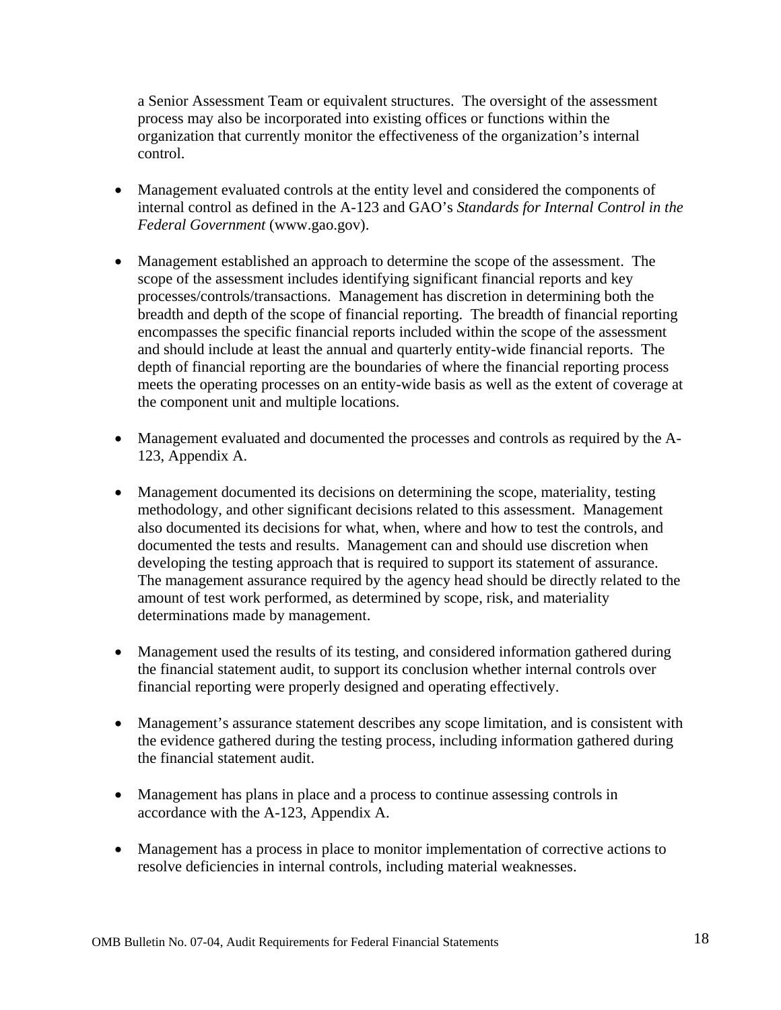a Senior Assessment Team or equivalent structures. The oversight of the assessment process may also be incorporated into existing offices or functions within the organization that currently monitor the effectiveness of the organization's internal control.

- Management evaluated controls at the entity level and considered the components of internal control as defined in the A-123 and GAO's *Standards for Internal Control in the Federal Government* (www.gao.gov).
- Management established an approach to determine the scope of the assessment. The scope of the assessment includes identifying significant financial reports and key processes/controls/transactions. Management has discretion in determining both the breadth and depth of the scope of financial reporting. The breadth of financial reporting encompasses the specific financial reports included within the scope of the assessment and should include at least the annual and quarterly entity-wide financial reports. The depth of financial reporting are the boundaries of where the financial reporting process meets the operating processes on an entity-wide basis as well as the extent of coverage at the component unit and multiple locations.
- Management evaluated and documented the processes and controls as required by the A-123, Appendix A.
- Management documented its decisions on determining the scope, materiality, testing methodology, and other significant decisions related to this assessment. Management also documented its decisions for what, when, where and how to test the controls, and documented the tests and results. Management can and should use discretion when developing the testing approach that is required to support its statement of assurance. The management assurance required by the agency head should be directly related to the amount of test work performed, as determined by scope, risk, and materiality determinations made by management.
- Management used the results of its testing, and considered information gathered during the financial statement audit, to support its conclusion whether internal controls over financial reporting were properly designed and operating effectively.
- Management's assurance statement describes any scope limitation, and is consistent with the evidence gathered during the testing process, including information gathered during the financial statement audit.
- Management has plans in place and a process to continue assessing controls in accordance with the A-123, Appendix A.
- Management has a process in place to monitor implementation of corrective actions to resolve deficiencies in internal controls, including material weaknesses.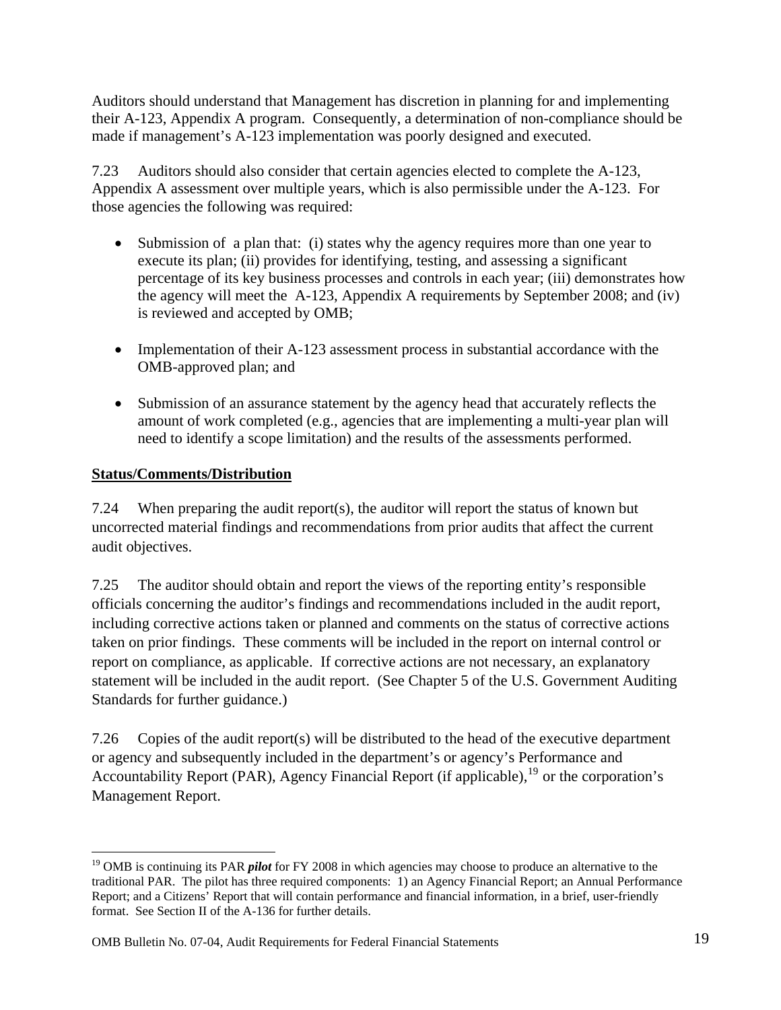<span id="page-19-0"></span>Auditors should understand that Management has discretion in planning for and implementing their A-123, Appendix A program. Consequently, a determination of non-compliance should be made if management's A-123 implementation was poorly designed and executed.

7.23 Auditors should also consider that certain agencies elected to complete the A-123, Appendix A assessment over multiple years, which is also permissible under the A-123. For those agencies the following was required:

- Submission of a plan that: (i) states why the agency requires more than one year to execute its plan; (ii) provides for identifying, testing, and assessing a significant percentage of its key business processes and controls in each year; (iii) demonstrates how the agency will meet the A-123, Appendix A requirements by September 2008; and (iv) is reviewed and accepted by OMB;
- Implementation of their A-123 assessment process in substantial accordance with the OMB-approved plan; and
- Submission of an assurance statement by the agency head that accurately reflects the amount of work completed (e.g., agencies that are implementing a multi-year plan will need to identify a scope limitation) and the results of the assessments performed.

### **Status/Comments/Distribution**

 $\overline{a}$ 

7.24 When preparing the audit report(s), the auditor will report the status of known but uncorrected material findings and recommendations from prior audits that affect the current audit objectives.

7.25 The auditor should obtain and report the views of the reporting entity's responsible officials concerning the auditor's findings and recommendations included in the audit report, including corrective actions taken or planned and comments on the status of corrective actions taken on prior findings. These comments will be included in the report on internal control or report on compliance, as applicable. If corrective actions are not necessary, an explanatory statement will be included in the audit report. (See Chapter 5 of the U.S. Government Auditing Standards for further guidance.)

7.26 Copies of the audit report(s) will be distributed to the head of the executive department or agency and subsequently included in the department's or agency's Performance and Accountability Report (PAR), Agency Financial Report (if applicable),  $19$  or the corporation's Management Report.

<span id="page-19-1"></span><sup>&</sup>lt;sup>19</sup> OMB is continuing its PAR *pilot* for FY 2008 in which agencies may choose to produce an alternative to the traditional PAR. The pilot has three required components: 1) an Agency Financial Report; an Annual Performance Report; and a Citizens' Report that will contain performance and financial information, in a brief, user-friendly format. See Section II of the A-136 for further details.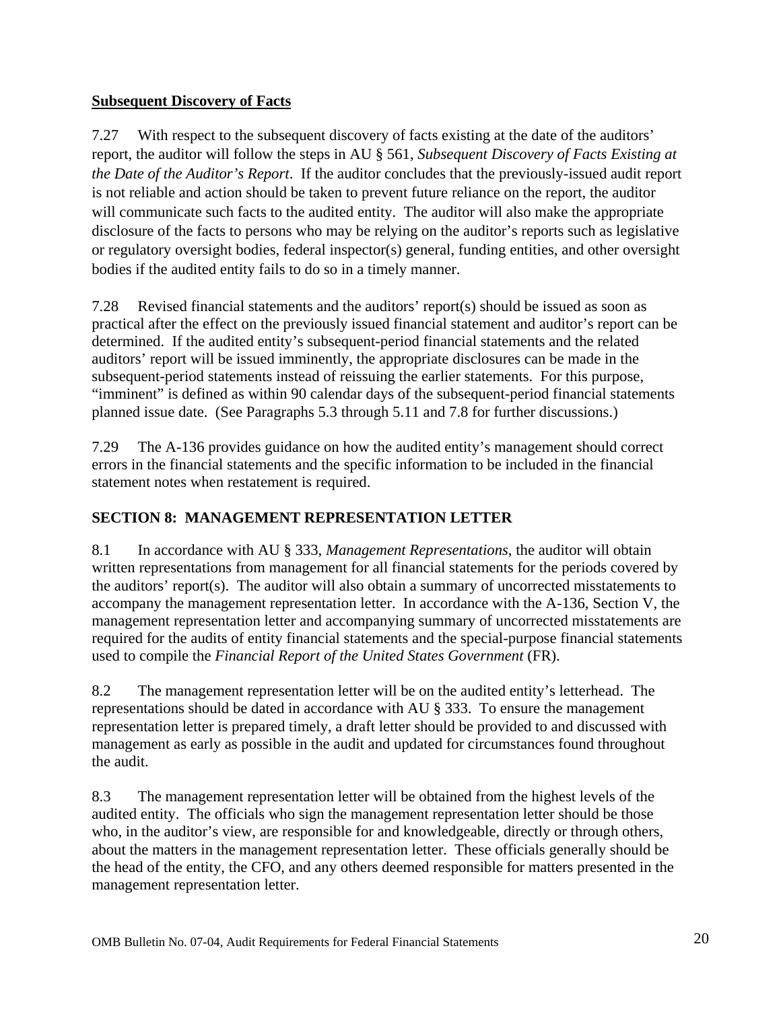### <span id="page-20-0"></span>**Subsequent Discovery of Facts**

7.27 With respect to the subsequent discovery of facts existing at the date of the auditors' report, the auditor will follow the steps in AU § 561, *Subsequent Discovery of Facts Existing at the Date of the Auditor's Report*. If the auditor concludes that the previously-issued audit report is not reliable and action should be taken to prevent future reliance on the report, the auditor will communicate such facts to the audited entity. The auditor will also make the appropriate disclosure of the facts to persons who may be relying on the auditor's reports such as legislative or regulatory oversight bodies, federal inspector(s) general, funding entities, and other oversight bodies if the audited entity fails to do so in a timely manner.

7.28 Revised financial statements and the auditors' report(s) should be issued as soon as practical after the effect on the previously issued financial statement and auditor's report can be determined. If the audited entity's subsequent-period financial statements and the related auditors' report will be issued imminently, the appropriate disclosures can be made in the subsequent-period statements instead of reissuing the earlier statements. For this purpose, "imminent" is defined as within 90 calendar days of the subsequent-period financial statements planned issue date. (See Paragraphs 5.3 through 5.11 and 7.8 for further discussions.)

7.29 The A-136 provides guidance on how the audited entity's management should correct errors in the financial statements and the specific information to be included in the financial statement notes when restatement is required.

## **SECTION 8: MANAGEMENT REPRESENTATION LETTER**

8.1 In accordance with AU § 333, *Management Representations*, the auditor will obtain written representations from management for all financial statements for the periods covered by the auditors' report(s). The auditor will also obtain a summary of uncorrected misstatements to accompany the management representation letter. In accordance with the A-136, Section V, the management representation letter and accompanying summary of uncorrected misstatements are required for the audits of entity financial statements and the special-purpose financial statements used to compile the *Financial Report of the United States Government* (FR).

8.2 The management representation letter will be on the audited entity's letterhead. The representations should be dated in accordance with AU § 333. To ensure the management representation letter is prepared timely, a draft letter should be provided to and discussed with management as early as possible in the audit and updated for circumstances found throughout the audit.

8.3 The management representation letter will be obtained from the highest levels of the audited entity. The officials who sign the management representation letter should be those who, in the auditor's view, are responsible for and knowledgeable, directly or through others, about the matters in the management representation letter. These officials generally should be the head of the entity, the CFO, and any others deemed responsible for matters presented in the management representation letter.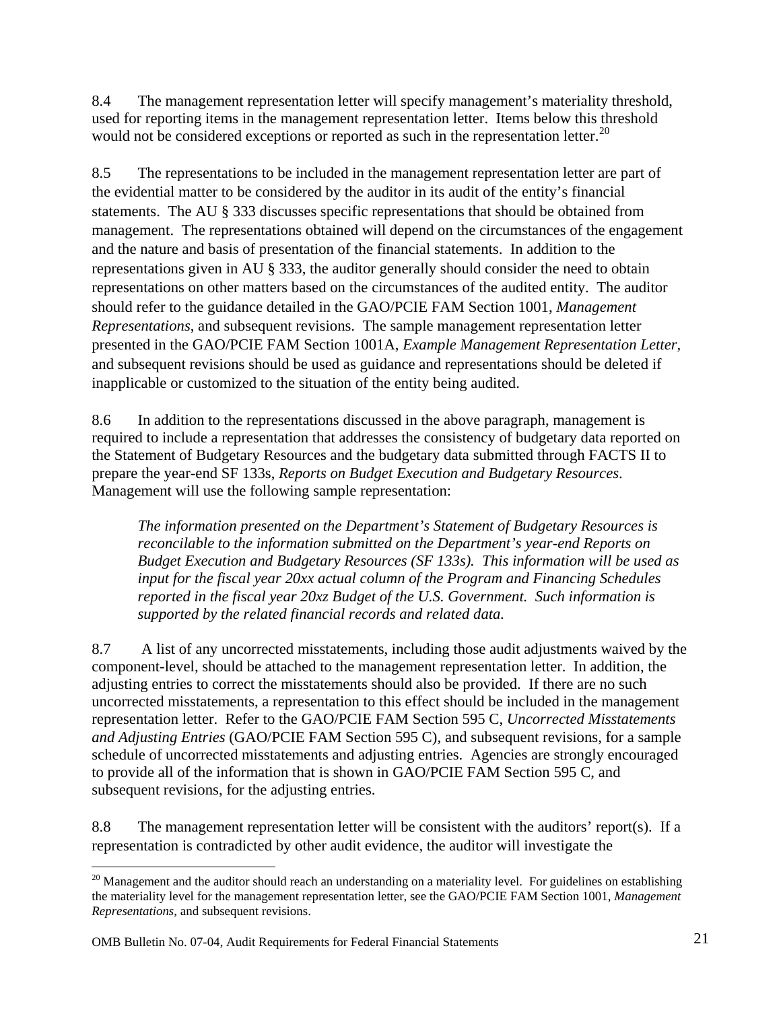8.4 The management representation letter will specify management's materiality threshold, used for reporting items in the management representation letter. Items below this threshold would not be considered exceptions or reported as such in the representation letter.<sup>[20](#page-21-0)</sup>

8.5 The representations to be included in the management representation letter are part of the evidential matter to be considered by the auditor in its audit of the entity's financial statements. The AU § 333 discusses specific representations that should be obtained from management. The representations obtained will depend on the circumstances of the engagement and the nature and basis of presentation of the financial statements. In addition to the representations given in AU § 333, the auditor generally should consider the need to obtain representations on other matters based on the circumstances of the audited entity. The auditor should refer to the guidance detailed in the GAO/PCIE FAM Section 1001, *Management Representations*, and subsequent revisions. The sample management representation letter presented in the GAO/PCIE FAM Section 1001A, *Example Management Representation Letter*, and subsequent revisions should be used as guidance and representations should be deleted if inapplicable or customized to the situation of the entity being audited.

8.6 In addition to the representations discussed in the above paragraph, management is required to include a representation that addresses the consistency of budgetary data reported on the Statement of Budgetary Resources and the budgetary data submitted through FACTS II to prepare the year-end SF 133s, *Reports on Budget Execution and Budgetary Resources*. Management will use the following sample representation:

*The information presented on the Department's Statement of Budgetary Resources is reconcilable to the information submitted on the Department's year-end Reports on Budget Execution and Budgetary Resources (SF 133s). This information will be used as input for the fiscal year 20xx actual column of the Program and Financing Schedules reported in the fiscal year 20xz Budget of the U.S. Government. Such information is supported by the related financial records and related data.* 

8.7 A list of any uncorrected misstatements, including those audit adjustments waived by the component-level, should be attached to the management representation letter. In addition, the adjusting entries to correct the misstatements should also be provided. If there are no such uncorrected misstatements, a representation to this effect should be included in the management representation letter. Refer to the GAO/PCIE FAM Section 595 C, *Uncorrected Misstatements and Adjusting Entries* (GAO/PCIE FAM Section 595 C)*,* and subsequent revisions, for a sample schedule of uncorrected misstatements and adjusting entries. Agencies are strongly encouraged to provide all of the information that is shown in GAO/PCIE FAM Section 595 C, and subsequent revisions, for the adjusting entries.

8.8 The management representation letter will be consistent with the auditors' report(s). If a representation is contradicted by other audit evidence, the auditor will investigate the

<span id="page-21-0"></span><sup>1</sup>  $^{20}$  Management and the auditor should reach an understanding on a materiality level. For guidelines on establishing the materiality level for the management representation letter, see the GAO/PCIE FAM Section 1001, *Management Representations*, and subsequent revisions.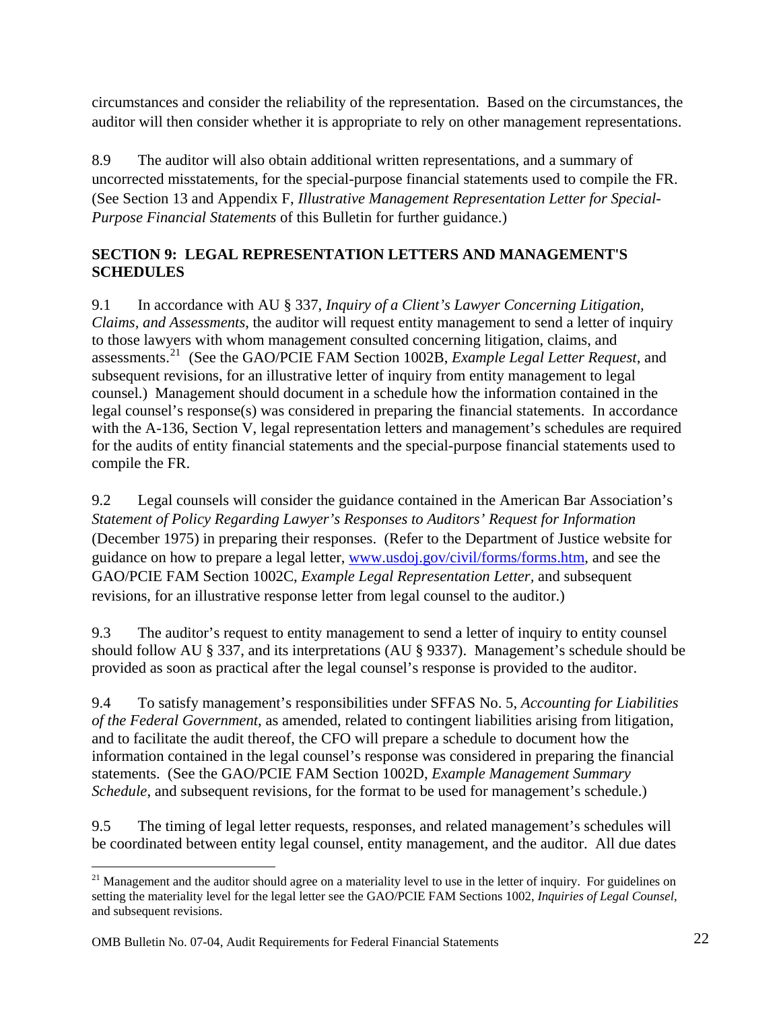<span id="page-22-0"></span>circumstances and consider the reliability of the representation. Based on the circumstances, the auditor will then consider whether it is appropriate to rely on other management representations.

8.9 The auditor will also obtain additional written representations, and a summary of uncorrected misstatements, for the special-purpose financial statements used to compile the FR. (See Section 13 and Appendix F, *Illustrative Management Representation Letter for Special-Purpose Financial Statements* of this Bulletin for further guidance.)

## **SECTION 9: LEGAL REPRESENTATION LETTERS AND MANAGEMENT'S SCHEDULES**

9.1 In accordance with AU § 337, *Inquiry of a Client's Lawyer Concerning Litigation, Claims, and Assessments*, the auditor will request entity management to send a letter of inquiry to those lawyers with whom management consulted concerning litigation, claims, and assessments.[21](#page-22-1) (See the GAO/PCIE FAM Section 1002B, *Example Legal Letter Request*, and subsequent revisions, for an illustrative letter of inquiry from entity management to legal counsel.) Management should document in a schedule how the information contained in the legal counsel's response(s) was considered in preparing the financial statements. In accordance with the A-136, Section V, legal representation letters and management's schedules are required for the audits of entity financial statements and the special-purpose financial statements used to compile the FR.

9.2 Legal counsels will consider the guidance contained in the American Bar Association's *Statement of Policy Regarding Lawyer's Responses to Auditors' Request for Information* (December 1975) in preparing their responses. (Refer to the Department of Justice website for guidance on how to prepare a legal letter, [www.usdoj.gov/civil/forms/forms.htm,](http://www.usdoj.gov/civil/forms/forms.htm) and see the GAO/PCIE FAM Section 1002C, *Example Legal Representation Letter,* and subsequent revisions, for an illustrative response letter from legal counsel to the auditor.)

9.3 The auditor's request to entity management to send a letter of inquiry to entity counsel should follow AU § 337, and its interpretations (AU § 9337). Management's schedule should be provided as soon as practical after the legal counsel's response is provided to the auditor.

9.4 To satisfy management's responsibilities under SFFAS No. 5, *Accounting for Liabilities of the Federal Government*, as amended, related to contingent liabilities arising from litigation, and to facilitate the audit thereof, the CFO will prepare a schedule to document how the information contained in the legal counsel's response was considered in preparing the financial statements. (See the GAO/PCIE FAM Section 1002D, *Example Management Summary Schedule*, and subsequent revisions, for the format to be used for management's schedule.)

9.5 The timing of legal letter requests, responses, and related management's schedules will be coordinated between entity legal counsel, entity management, and the auditor. All due dates

<span id="page-22-1"></span> $\overline{a}$ <sup>21</sup> Management and the auditor should agree on a materiality level to use in the letter of inquiry. For guidelines on setting the materiality level for the legal letter see the GAO/PCIE FAM Sections 1002, *Inquiries of Legal Counsel*, and subsequent revisions.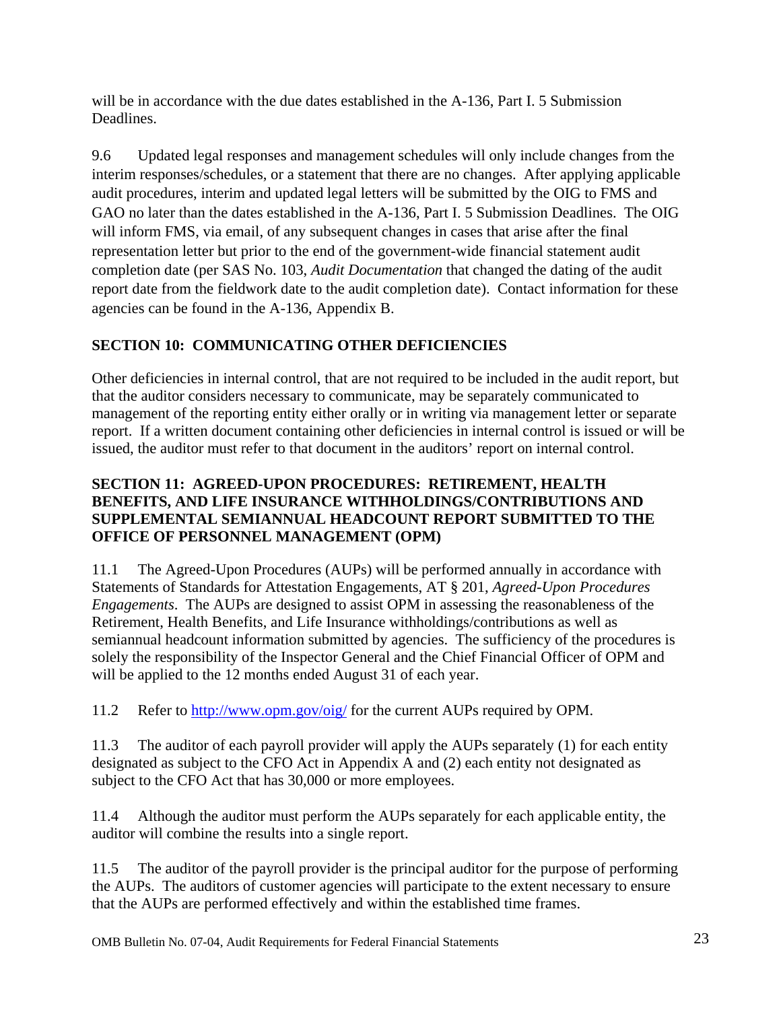<span id="page-23-0"></span>will be in accordance with the due dates established in the A-136, Part I. 5 Submission Deadlines.

9.6 Updated legal responses and management schedules will only include changes from the interim responses/schedules, or a statement that there are no changes. After applying applicable audit procedures, interim and updated legal letters will be submitted by the OIG to FMS and GAO no later than the dates established in the A-136, Part I. 5 Submission Deadlines. The OIG will inform FMS, via email, of any subsequent changes in cases that arise after the final representation letter but prior to the end of the government-wide financial statement audit completion date (per SAS No. 103, *Audit Documentation* that changed the dating of the audit report date from the fieldwork date to the audit completion date). Contact information for these agencies can be found in the A-136, Appendix B.

## **SECTION 10: COMMUNICATING OTHER DEFICIENCIES**

Other deficiencies in internal control, that are not required to be included in the audit report, but that the auditor considers necessary to communicate, may be separately communicated to management of the reporting entity either orally or in writing via management letter or separate report. If a written document containing other deficiencies in internal control is issued or will be issued, the auditor must refer to that document in the auditors' report on internal control.

#### **SECTION 11: AGREED-UPON PROCEDURES: RETIREMENT, HEALTH BENEFITS, AND LIFE INSURANCE WITHHOLDINGS/CONTRIBUTIONS AND SUPPLEMENTAL SEMIANNUAL HEADCOUNT REPORT SUBMITTED TO THE OFFICE OF PERSONNEL MANAGEMENT (OPM)**

11.1 The Agreed-Upon Procedures (AUPs) will be performed annually in accordance with Statements of Standards for Attestation Engagements, AT § 201, *Agreed-Upon Procedures Engagements*. The AUPs are designed to assist OPM in assessing the reasonableness of the Retirement, Health Benefits, and Life Insurance withholdings/contributions as well as semiannual headcount information submitted by agencies. The sufficiency of the procedures is solely the responsibility of the Inspector General and the Chief Financial Officer of OPM and will be applied to the 12 months ended August 31 of each year.

11.2 Refer to<http://www.opm.gov/oig/> for the current AUPs required by OPM.

11.3 The auditor of each payroll provider will apply the AUPs separately (1) for each entity designated as subject to the CFO Act in Appendix A and (2) each entity not designated as subject to the CFO Act that has 30,000 or more employees.

11.4 Although the auditor must perform the AUPs separately for each applicable entity, the auditor will combine the results into a single report.

11.5 The auditor of the payroll provider is the principal auditor for the purpose of performing the AUPs. The auditors of customer agencies will participate to the extent necessary to ensure that the AUPs are performed effectively and within the established time frames.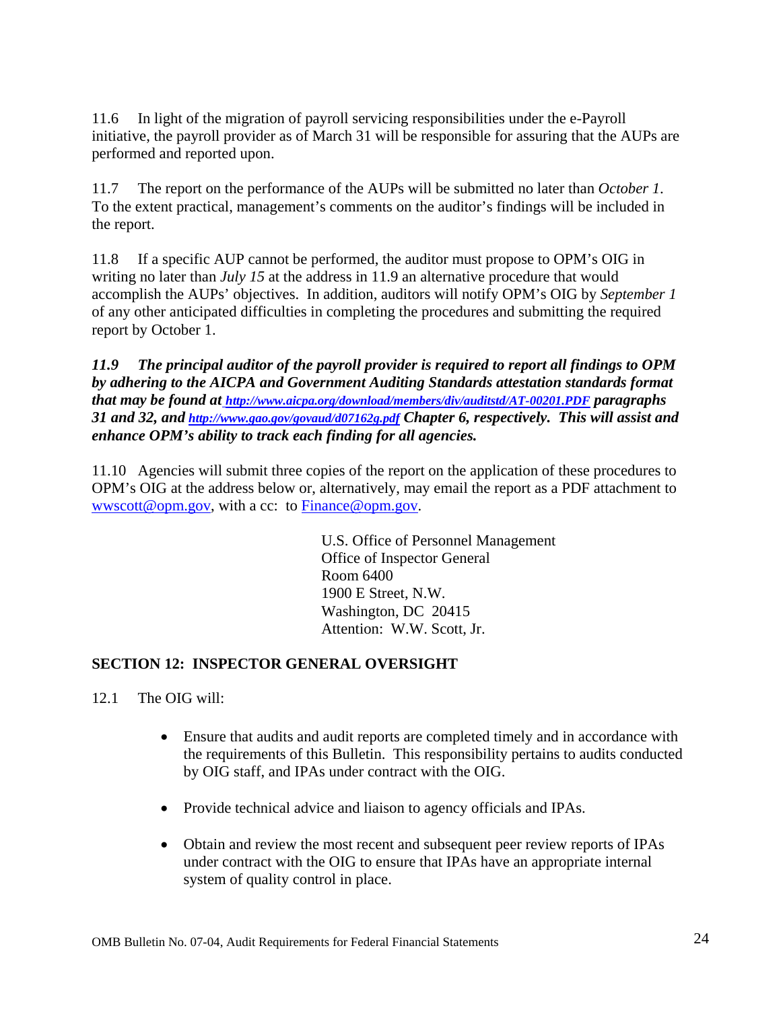<span id="page-24-0"></span>11.6 In light of the migration of payroll servicing responsibilities under the e-Payroll initiative, the payroll provider as of March 31 will be responsible for assuring that the AUPs are performed and reported upon.

11.7 The report on the performance of the AUPs will be submitted no later than *October 1*. To the extent practical, management's comments on the auditor's findings will be included in the report.

11.8 If a specific AUP cannot be performed, the auditor must propose to OPM's OIG in writing no later than *July 15* at the address in 11.9 an alternative procedure that would accomplish the AUPs' objectives. In addition, auditors will notify OPM's OIG by *September 1* of any other anticipated difficulties in completing the procedures and submitting the required report by October 1.

*11.9 The principal auditor of the payroll provider is required to report all findings to OPM by adhering to the A[I](http://www.aicpa.org/download/members/div/auditstd/AT-00201.PDF)CPA and Government Auditing Standards attestation standards format that may be found at [http://www.aicpa.org/download/members/div/auditstd/AT-00201.PDF](http://www.gao.gov/govaud/d07162g.pdf) paragraphs 31 and 32, and <http://www.gao.gov/govaud/d07162g.pdf>Chapter 6, respectively. This will assist and enhance OPM's ability to track each finding for all agencies.*

11.10 Agencies will submit three copies of the report on the application of these procedures to OPM's OIG at the address below or, alternatively, may email the report as a PDF attachment to [wwscott@opm.gov](mailto:), with a cc: to [Finance@opm.gov.](mailto:Finance@opm.gov)

> U.S. Office of Personnel Management Office of Inspector General Room 6400 1900 E Street, N.W. Washington, DC 20415 Attention: W.W. Scott, Jr.

#### **SECTION 12: INSPECTOR GENERAL OVERSIGHT**

12.1 The OIG will:

- Ensure that audits and audit reports are completed timely and in accordance with the requirements of this Bulletin. This responsibility pertains to audits conducted by OIG staff, and IPAs under contract with the OIG.
- Provide technical advice and liaison to agency officials and IPAs.
- Obtain and review the most recent and subsequent peer review reports of IPAs under contract with the OIG to ensure that IPAs have an appropriate internal system of quality control in place.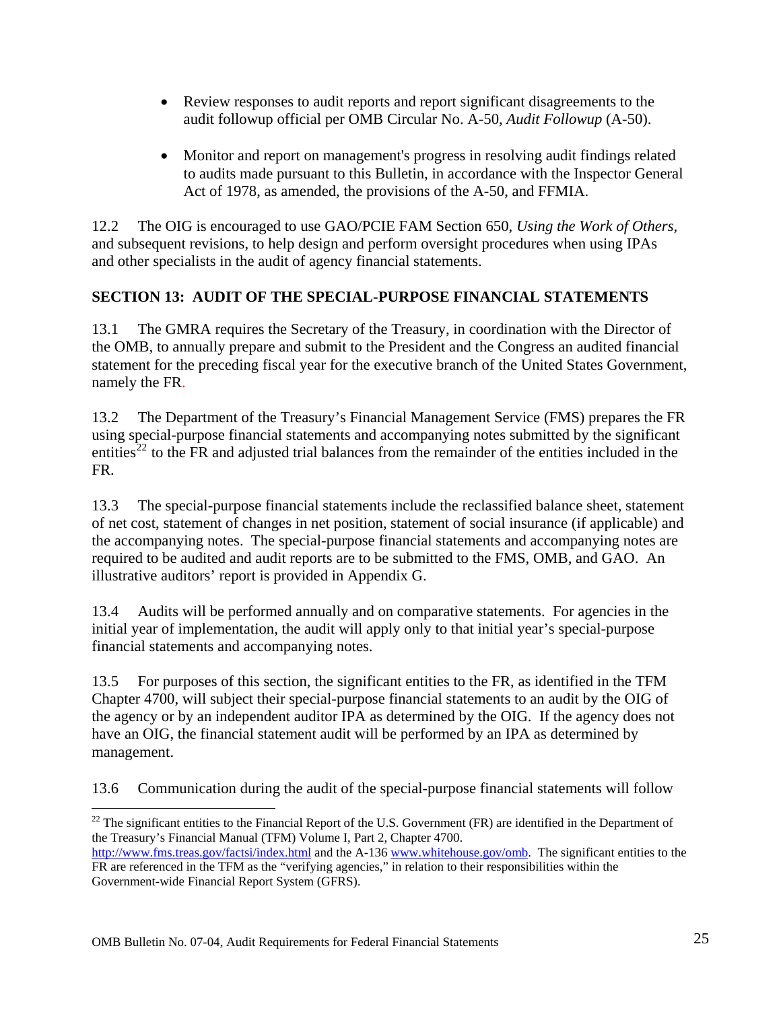- <span id="page-25-0"></span>• Review responses to audit reports and report significant disagreements to the audit followup official per OMB Circular No. A-50, *Audit Followup* (A-50).
- Monitor and report on management's progress in resolving audit findings related to audits made pursuant to this Bulletin, in accordance with the Inspector General Act of 1978, as amended, the provisions of the A-50, and FFMIA.

12.2 The OIG is encouraged to use GAO/PCIE FAM Section 650, *Using the Work of Others,* and subsequent revisions, to help design and perform oversight procedures when using IPAs and other specialists in the audit of agency financial statements.

## **SECTION 13: AUDIT OF THE SPECIAL-PURPOSE FINANCIAL STATEMENTS**

13.1 The GMRA requires the Secretary of the Treasury, in coordination with the Director of the OMB, to annually prepare and submit to the President and the Congress an audited financial statement for the preceding fiscal year for the executive branch of the United States Government, namely the FR.

13.2 The Department of the Treasury's Financial Management Service (FMS) prepares the FR using special-purpose financial statements and accompanying notes submitted by the significant entities<sup>[22](#page-25-1)</sup> to the FR and adjusted trial balances from the remainder of the entities included in the FR.

13.3 The special-purpose financial statements include the reclassified balance sheet, statement of net cost, statement of changes in net position, statement of social insurance (if applicable) and the accompanying notes. The special-purpose financial statements and accompanying notes are required to be audited and audit reports are to be submitted to the FMS, OMB, and GAO. An illustrative auditors' report is provided in Appendix G.

13.4 Audits will be performed annually and on comparative statements. For agencies in the initial year of implementation, the audit will apply only to that initial year's special-purpose financial statements and accompanying notes.

13.5 For purposes of this section, the significant entities to the FR, as identified in the TFM Chapter 4700, will subject their special-purpose financial statements to an audit by the OIG of the agency or by an independent auditor IPA as determined by the OIG. If the agency does not have an OIG, the financial statement audit will be performed by an IPA as determined by management.

13.6 Communication during the audit of the special-purpose financial statements will follow

<span id="page-25-1"></span> $\overline{a}$  $^{22}$  The significant entities to the Financial Report of the U.S. Government (FR) are identified in the Department of the Treasury's Financial Manual (TFM) Volume I, Part 2, Chapter 4700.

http://www.fms.treas.gov/factsi/index.html and the A-136 [www.whitehouse.gov/omb](http://www.whitehouse.gov/omb). The significant entities to the FR are referenced in the TFM as the "verifying agencies," in relation to their responsibilities within the Government-wide Financial Report System (GFRS).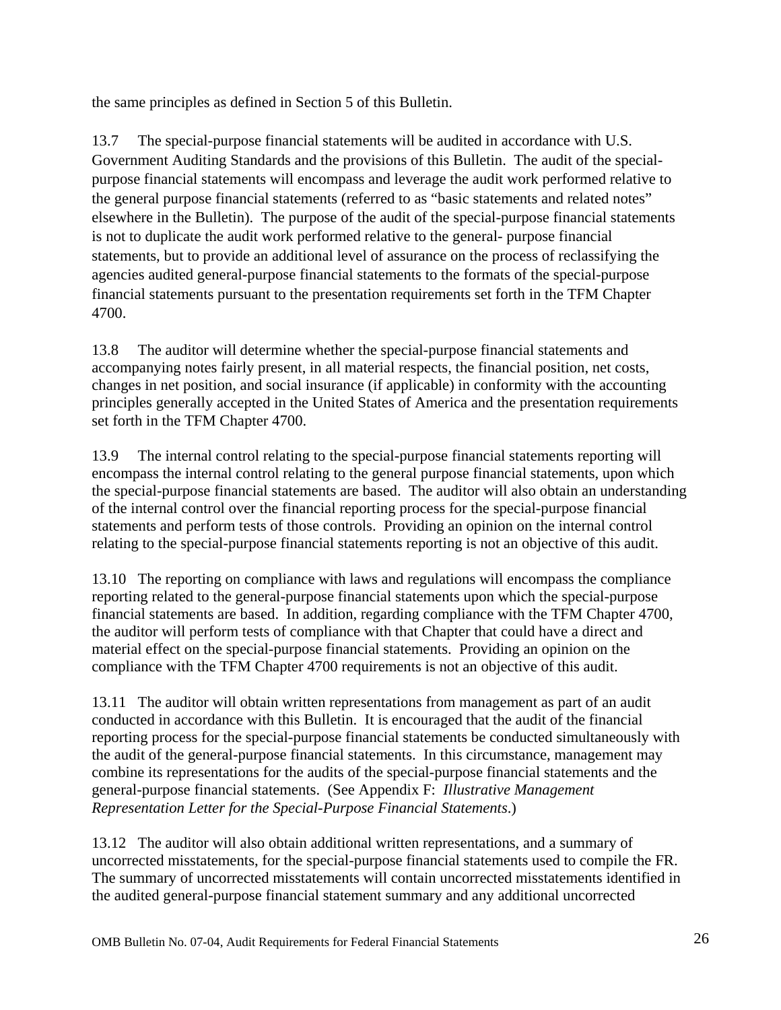the same principles as defined in Section 5 of this Bulletin.

13.7 The special-purpose financial statements will be audited in accordance with U.S. Government Auditing Standards and the provisions of this Bulletin. The audit of the specialpurpose financial statements will encompass and leverage the audit work performed relative to the general purpose financial statements (referred to as "basic statements and related notes" elsewhere in the Bulletin). The purpose of the audit of the special-purpose financial statements is not to duplicate the audit work performed relative to the general- purpose financial statements, but to provide an additional level of assurance on the process of reclassifying the agencies audited general-purpose financial statements to the formats of the special-purpose financial statements pursuant to the presentation requirements set forth in the TFM Chapter 4700.

13.8 The auditor will determine whether the special-purpose financial statements and accompanying notes fairly present, in all material respects, the financial position, net costs, changes in net position, and social insurance (if applicable) in conformity with the accounting principles generally accepted in the United States of America and the presentation requirements set forth in the TFM Chapter 4700.

13.9 The internal control relating to the special-purpose financial statements reporting will encompass the internal control relating to the general purpose financial statements, upon which the special-purpose financial statements are based. The auditor will also obtain an understanding of the internal control over the financial reporting process for the special-purpose financial statements and perform tests of those controls. Providing an opinion on the internal control relating to the special-purpose financial statements reporting is not an objective of this audit.

13.10 The reporting on compliance with laws and regulations will encompass the compliance reporting related to the general-purpose financial statements upon which the special-purpose financial statements are based. In addition, regarding compliance with the TFM Chapter 4700, the auditor will perform tests of compliance with that Chapter that could have a direct and material effect on the special-purpose financial statements. Providing an opinion on the compliance with the TFM Chapter 4700 requirements is not an objective of this audit.

13.11 The auditor will obtain written representations from management as part of an audit conducted in accordance with this Bulletin. It is encouraged that the audit of the financial reporting process for the special-purpose financial statements be conducted simultaneously with the audit of the general-purpose financial statements. In this circumstance, management may combine its representations for the audits of the special-purpose financial statements and the general-purpose financial statements. (See Appendix F: *Illustrative Management Representation Letter for the Special-Purpose Financial Statements*.)

13.12 The auditor will also obtain additional written representations, and a summary of uncorrected misstatements, for the special-purpose financial statements used to compile the FR. The summary of uncorrected misstatements will contain uncorrected misstatements identified in the audited general-purpose financial statement summary and any additional uncorrected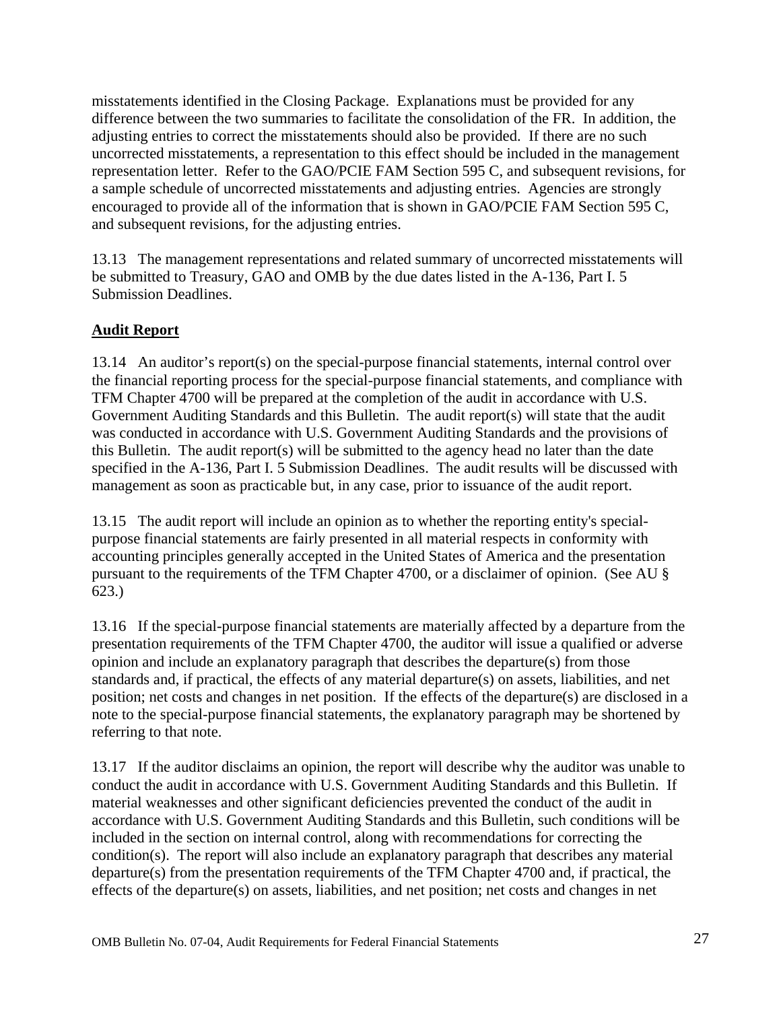<span id="page-27-0"></span>misstatements identified in the Closing Package. Explanations must be provided for any difference between the two summaries to facilitate the consolidation of the FR. In addition, the adjusting entries to correct the misstatements should also be provided. If there are no such uncorrected misstatements, a representation to this effect should be included in the management representation letter. Refer to the GAO/PCIE FAM Section 595 C, and subsequent revisions, for a sample schedule of uncorrected misstatements and adjusting entries. Agencies are strongly encouraged to provide all of the information that is shown in GAO/PCIE FAM Section 595 C, and subsequent revisions, for the adjusting entries.

13.13 The management representations and related summary of uncorrected misstatements will be submitted to Treasury, GAO and OMB by the due dates listed in the A-136, Part I. 5 Submission Deadlines.

## **Audit Report**

13.14 An auditor's report(s) on the special-purpose financial statements, internal control over the financial reporting process for the special-purpose financial statements, and compliance with TFM Chapter 4700 will be prepared at the completion of the audit in accordance with U.S. Government Auditing Standards and this Bulletin. The audit report(s) will state that the audit was conducted in accordance with U.S. Government Auditing Standards and the provisions of this Bulletin. The audit report(s) will be submitted to the agency head no later than the date specified in the A-136, Part I. 5 Submission Deadlines. The audit results will be discussed with management as soon as practicable but, in any case, prior to issuance of the audit report.

13.15 The audit report will include an opinion as to whether the reporting entity's specialpurpose financial statements are fairly presented in all material respects in conformity with accounting principles generally accepted in the United States of America and the presentation pursuant to the requirements of the TFM Chapter 4700, or a disclaimer of opinion. (See AU § 623.)

13.16 If the special-purpose financial statements are materially affected by a departure from the presentation requirements of the TFM Chapter 4700, the auditor will issue a qualified or adverse opinion and include an explanatory paragraph that describes the departure(s) from those standards and, if practical, the effects of any material departure(s) on assets, liabilities, and net position; net costs and changes in net position. If the effects of the departure(s) are disclosed in a note to the special-purpose financial statements, the explanatory paragraph may be shortened by referring to that note.

13.17 If the auditor disclaims an opinion, the report will describe why the auditor was unable to conduct the audit in accordance with U.S. Government Auditing Standards and this Bulletin. If material weaknesses and other significant deficiencies prevented the conduct of the audit in accordance with U.S. Government Auditing Standards and this Bulletin, such conditions will be included in the section on internal control, along with recommendations for correcting the condition(s). The report will also include an explanatory paragraph that describes any material departure(s) from the presentation requirements of the TFM Chapter 4700 and, if practical, the effects of the departure(s) on assets, liabilities, and net position; net costs and changes in net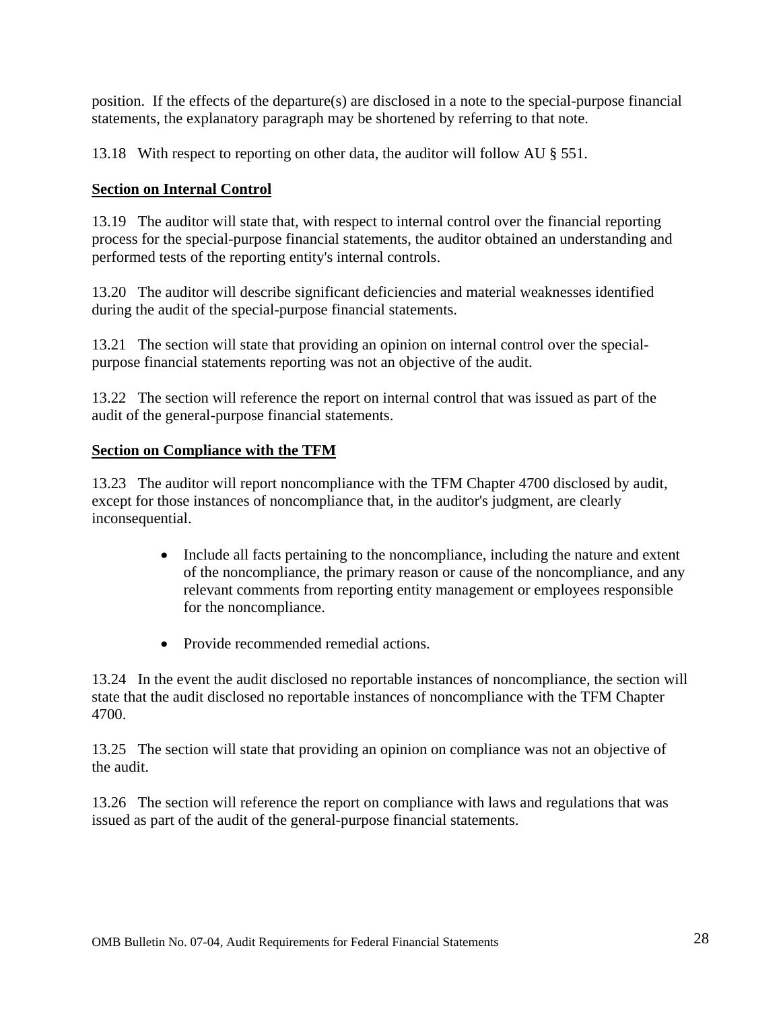<span id="page-28-0"></span>position. If the effects of the departure(s) are disclosed in a note to the special-purpose financial statements, the explanatory paragraph may be shortened by referring to that note.

13.18 With respect to reporting on other data, the auditor will follow AU § 551.

#### **Section on Internal Control**

13.19 The auditor will state that, with respect to internal control over the financial reporting process for the special-purpose financial statements, the auditor obtained an understanding and performed tests of the reporting entity's internal controls.

13.20 The auditor will describe significant deficiencies and material weaknesses identified during the audit of the special-purpose financial statements.

13.21 The section will state that providing an opinion on internal control over the specialpurpose financial statements reporting was not an objective of the audit.

13.22 The section will reference the report on internal control that was issued as part of the audit of the general-purpose financial statements.

#### **Section on Compliance with the TFM**

13.23 The auditor will report noncompliance with the TFM Chapter 4700 disclosed by audit, except for those instances of noncompliance that, in the auditor's judgment, are clearly inconsequential.

- Include all facts pertaining to the noncompliance, including the nature and extent of the noncompliance, the primary reason or cause of the noncompliance, and any relevant comments from reporting entity management or employees responsible for the noncompliance.
- Provide recommended remedial actions.

13.24 In the event the audit disclosed no reportable instances of noncompliance, the section will state that the audit disclosed no reportable instances of noncompliance with the TFM Chapter 4700.

13.25 The section will state that providing an opinion on compliance was not an objective of the audit.

13.26 The section will reference the report on compliance with laws and regulations that was issued as part of the audit of the general-purpose financial statements.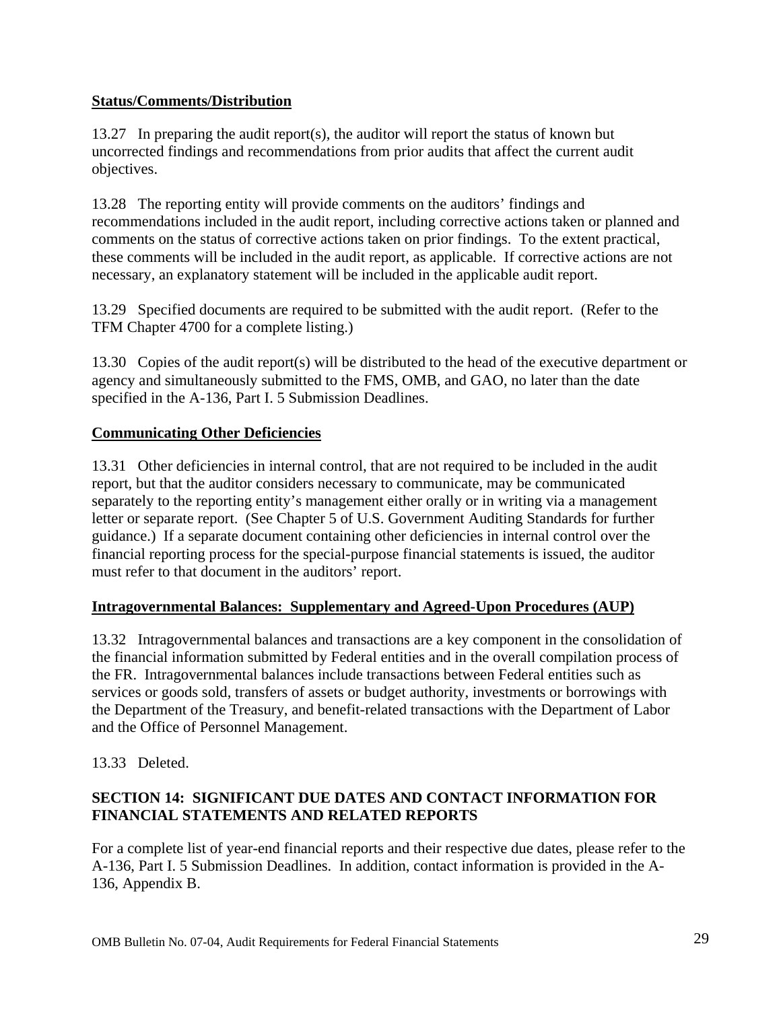#### <span id="page-29-0"></span>**Status/Comments/Distribution**

13.27 In preparing the audit report(s), the auditor will report the status of known but uncorrected findings and recommendations from prior audits that affect the current audit objectives.

13.28 The reporting entity will provide comments on the auditors' findings and recommendations included in the audit report, including corrective actions taken or planned and comments on the status of corrective actions taken on prior findings. To the extent practical, these comments will be included in the audit report, as applicable. If corrective actions are not necessary, an explanatory statement will be included in the applicable audit report.

13.29 Specified documents are required to be submitted with the audit report. (Refer to the TFM Chapter 4700 for a complete listing.)

13.30 Copies of the audit report(s) will be distributed to the head of the executive department or agency and simultaneously submitted to the FMS, OMB, and GAO, no later than the date specified in the A-136, Part I. 5 Submission Deadlines.

#### **Communicating Other Deficiencies**

13.31 Other deficiencies in internal control, that are not required to be included in the audit report, but that the auditor considers necessary to communicate, may be communicated separately to the reporting entity's management either orally or in writing via a management letter or separate report. (See Chapter 5 of U.S. Government Auditing Standards for further guidance.) If a separate document containing other deficiencies in internal control over the financial reporting process for the special-purpose financial statements is issued, the auditor must refer to that document in the auditors' report.

#### **Intragovernmental Balances: Supplementary and Agreed-Upon Procedures (AUP)**

13.32 Intragovernmental balances and transactions are a key component in the consolidation of the financial information submitted by Federal entities and in the overall compilation process of the FR. Intragovernmental balances include transactions between Federal entities such as services or goods sold, transfers of assets or budget authority, investments or borrowings with the Department of the Treasury, and benefit-related transactions with the Department of Labor and the Office of Personnel Management.

13.33 Deleted.

### **SECTION 14: SIGNIFICANT DUE DATES AND CONTACT INFORMATION FOR FINANCIAL STATEMENTS AND RELATED REPORTS**

For a complete list of year-end financial reports and their respective due dates, please refer to the A-136, Part I. 5 Submission Deadlines.In addition, contact information is provided in the A-136, Appendix B.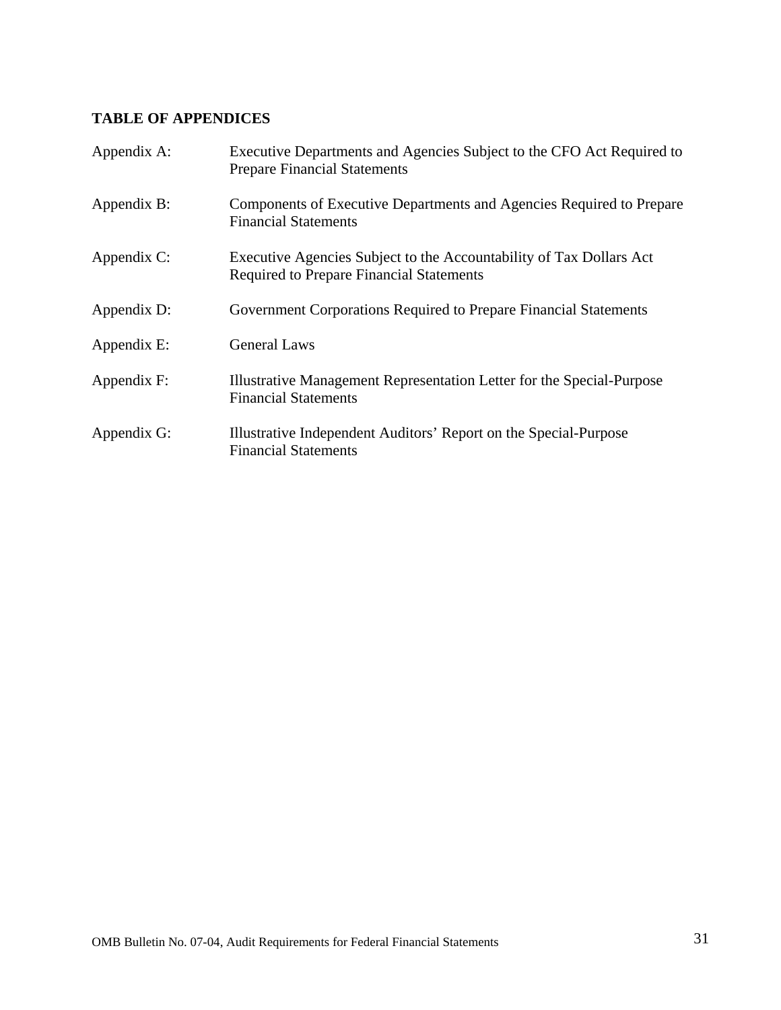## <span id="page-31-0"></span>**TABLE OF APPENDICES**

| Appendix A: | Executive Departments and Agencies Subject to the CFO Act Required to<br><b>Prepare Financial Statements</b>           |
|-------------|------------------------------------------------------------------------------------------------------------------------|
| Appendix B: | Components of Executive Departments and Agencies Required to Prepare<br><b>Financial Statements</b>                    |
| Appendix C: | Executive Agencies Subject to the Accountability of Tax Dollars Act<br><b>Required to Prepare Financial Statements</b> |
| Appendix D: | Government Corporations Required to Prepare Financial Statements                                                       |
| Appendix E: | <b>General Laws</b>                                                                                                    |
| Appendix F: | Illustrative Management Representation Letter for the Special-Purpose<br><b>Financial Statements</b>                   |
| Appendix G: | Illustrative Independent Auditors' Report on the Special-Purpose<br><b>Financial Statements</b>                        |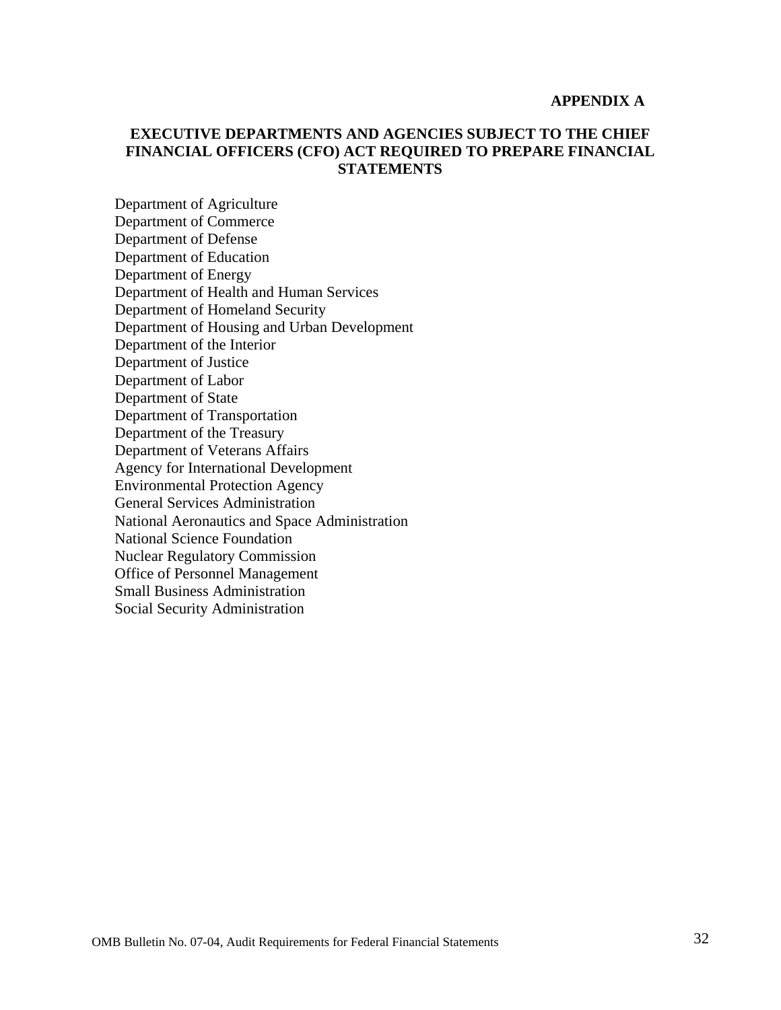#### **APPENDIX A**

#### <span id="page-32-0"></span>**EXECUTIVE DEPARTMENTS AND AGENCIES SUBJECT TO THE CHIEF FINANCIAL OFFICERS (CFO) ACT REQUIRED TO PREPARE FINANCIAL STATEMENTS**

Department of Agriculture Department of Commerce Department of Defense Department of Education Department of Energy Department of Health and Human Services Department of Homeland Security Department of Housing and Urban Development Department of the Interior Department of Justice Department of Labor Department of State Department of Transportation Department of the Treasury Department of Veterans Affairs Agency for International Development Environmental Protection Agency General Services Administration National Aeronautics and Space Administration National Science Foundation Nuclear Regulatory Commission Office of Personnel Management Small Business Administration Social Security Administration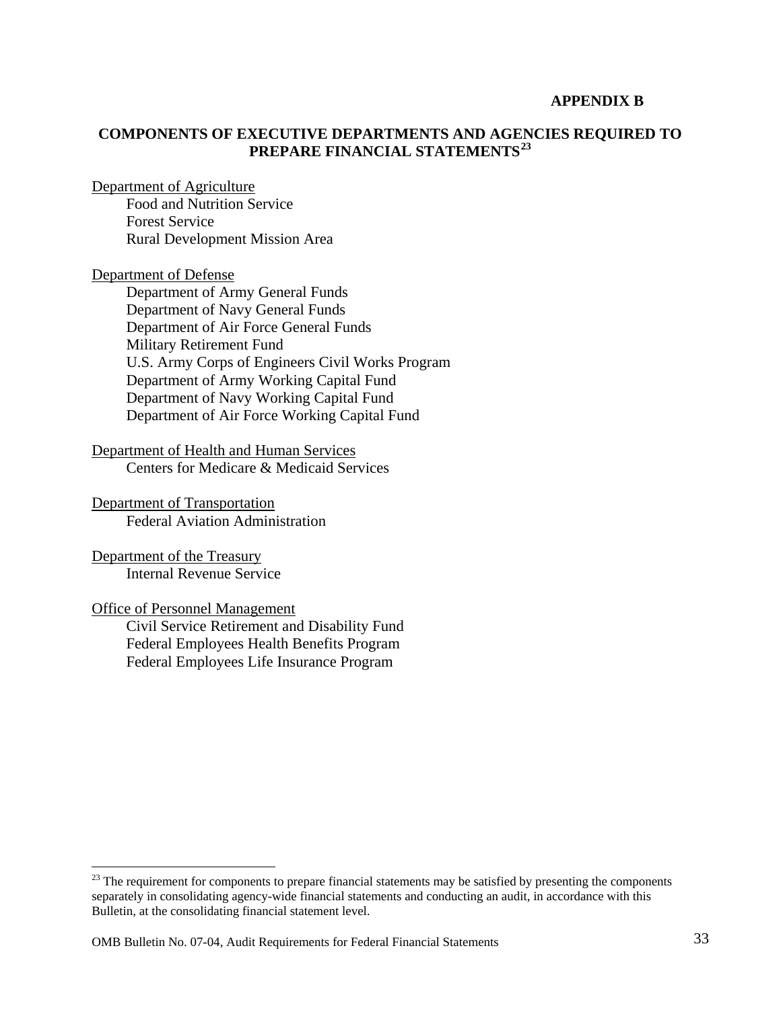#### **APPENDIX B**

#### <span id="page-33-0"></span>**COMPONENTS OF EXECUTIVE DEPARTMENTS AND AGENCIES REQUIRED TO PREPARE FINANCIAL STATEMENTS[23](#page-33-1)**

Department of Agriculture

Food and Nutrition Service Forest Service Rural Development Mission Area

Department of Defense

Department of Army General Funds Department of Navy General Funds Department of Air Force General Funds Military Retirement Fund U.S. Army Corps of Engineers Civil Works Program Department of Army Working Capital Fund Department of Navy Working Capital Fund Department of Air Force Working Capital Fund

Department of Health and Human Services Centers for Medicare & Medicaid Services

Department of Transportation Federal Aviation Administration

Department of the Treasury Internal Revenue Service

Office of Personnel Management

1

Civil Service Retirement and Disability Fund Federal Employees Health Benefits Program Federal Employees Life Insurance Program

<span id="page-33-1"></span><sup>&</sup>lt;sup>23</sup> The requirement for components to prepare financial statements may be satisfied by presenting the components separately in consolidating agency-wide financial statements and conducting an audit, in accordance with this Bulletin, at the consolidating financial statement level.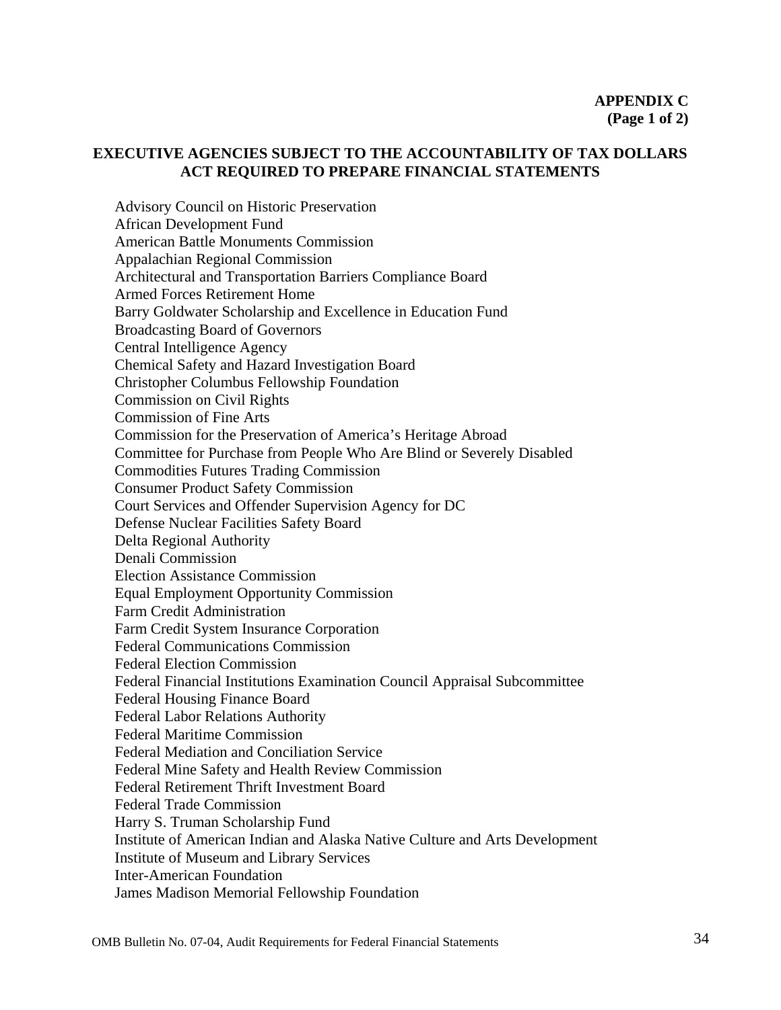#### <span id="page-34-0"></span>**EXECUTIVE AGENCIES SUBJECT TO THE ACCOUNTABILITY OF TAX DOLLARS ACT REQUIRED TO PREPARE FINANCIAL STATEMENTS**

Advisory Council on Historic Preservation African Development Fund American Battle Monuments Commission Appalachian Regional Commission Architectural and Transportation Barriers Compliance Board Armed Forces Retirement Home Barry Goldwater Scholarship and Excellence in Education Fund Broadcasting Board of Governors Central Intelligence Agency Chemical Safety and Hazard Investigation Board Christopher Columbus Fellowship Foundation Commission on Civil Rights Commission of Fine Arts Commission for the Preservation of America's Heritage Abroad Committee for Purchase from People Who Are Blind or Severely Disabled Commodities Futures Trading Commission Consumer Product Safety Commission Court Services and Offender Supervision Agency for DC Defense Nuclear Facilities Safety Board Delta Regional Authority Denali Commission Election Assistance Commission Equal Employment Opportunity Commission Farm Credit Administration Farm Credit System Insurance Corporation Federal Communications Commission Federal Election Commission Federal Financial Institutions Examination Council Appraisal Subcommittee Federal Housing Finance Board Federal Labor Relations Authority Federal Maritime Commission Federal Mediation and Conciliation Service Federal Mine Safety and Health Review Commission Federal Retirement Thrift Investment Board Federal Trade Commission Harry S. Truman Scholarship Fund Institute of American Indian and Alaska Native Culture and Arts Development Institute of Museum and Library Services Inter-American Foundation James Madison Memorial Fellowship Foundation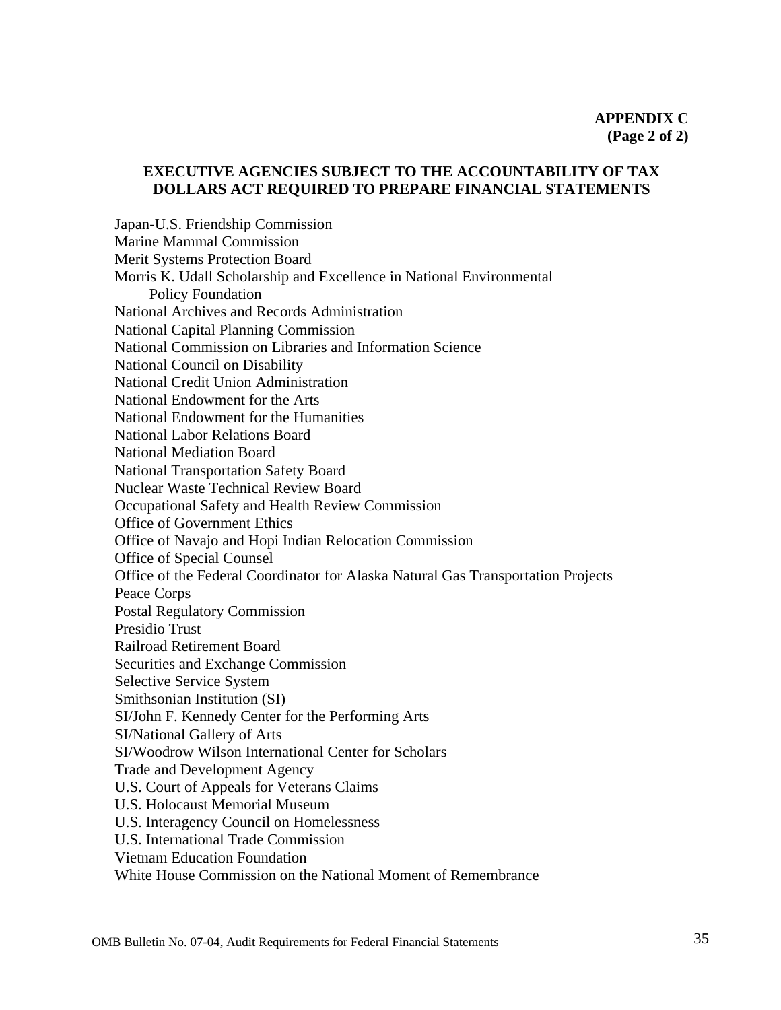#### **EXECUTIVE AGENCIES SUBJECT TO THE ACCOUNTABILITY OF TAX DOLLARS ACT REQUIRED TO PREPARE FINANCIAL STATEMENTS**

Japan-U.S. Friendship Commission Marine Mammal Commission Merit Systems Protection Board Morris K. Udall Scholarship and Excellence in National Environmental Policy Foundation National Archives and Records Administration National Capital Planning Commission National Commission on Libraries and Information Science National Council on Disability National Credit Union Administration National Endowment for the Arts National Endowment for the Humanities National Labor Relations Board National Mediation Board National Transportation Safety Board Nuclear Waste Technical Review Board Occupational Safety and Health Review Commission Office of Government Ethics Office of Navajo and Hopi Indian Relocation Commission Office of Special Counsel Office of the Federal Coordinator for Alaska Natural Gas Transportation Projects Peace Corps Postal Regulatory Commission Presidio Trust Railroad Retirement Board Securities and Exchange Commission Selective Service System Smithsonian Institution (SI) SI/John F. Kennedy Center for the Performing Arts SI/National Gallery of Arts SI/Woodrow Wilson International Center for Scholars Trade and Development Agency U.S. Court of Appeals for Veterans Claims U.S. Holocaust Memorial Museum U.S. Interagency Council on Homelessness U.S. International Trade Commission Vietnam Education Foundation White House Commission on the National Moment of Remembrance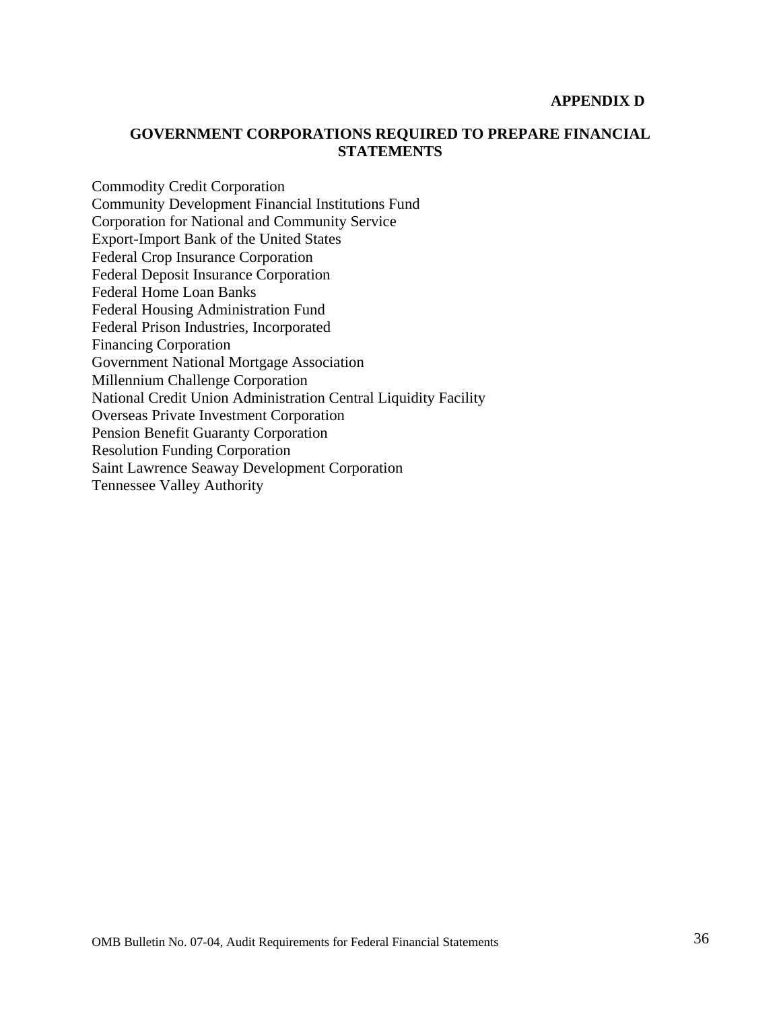#### **APPENDIX D**

#### <span id="page-36-0"></span>**GOVERNMENT CORPORATIONS REQUIRED TO PREPARE FINANCIAL STATEMENTS**

Commodity Credit Corporation Community Development Financial Institutions Fund Corporation for National and Community Service Export-Import Bank of the United States Federal Crop Insurance Corporation Federal Deposit Insurance Corporation Federal Home Loan Banks Federal Housing Administration Fund Federal Prison Industries, Incorporated Financing Corporation Government National Mortgage Association Millennium Challenge Corporation National Credit Union Administration Central Liquidity Facility Overseas Private Investment Corporation Pension Benefit Guaranty Corporation Resolution Funding Corporation Saint Lawrence Seaway Development Corporation Tennessee Valley Authority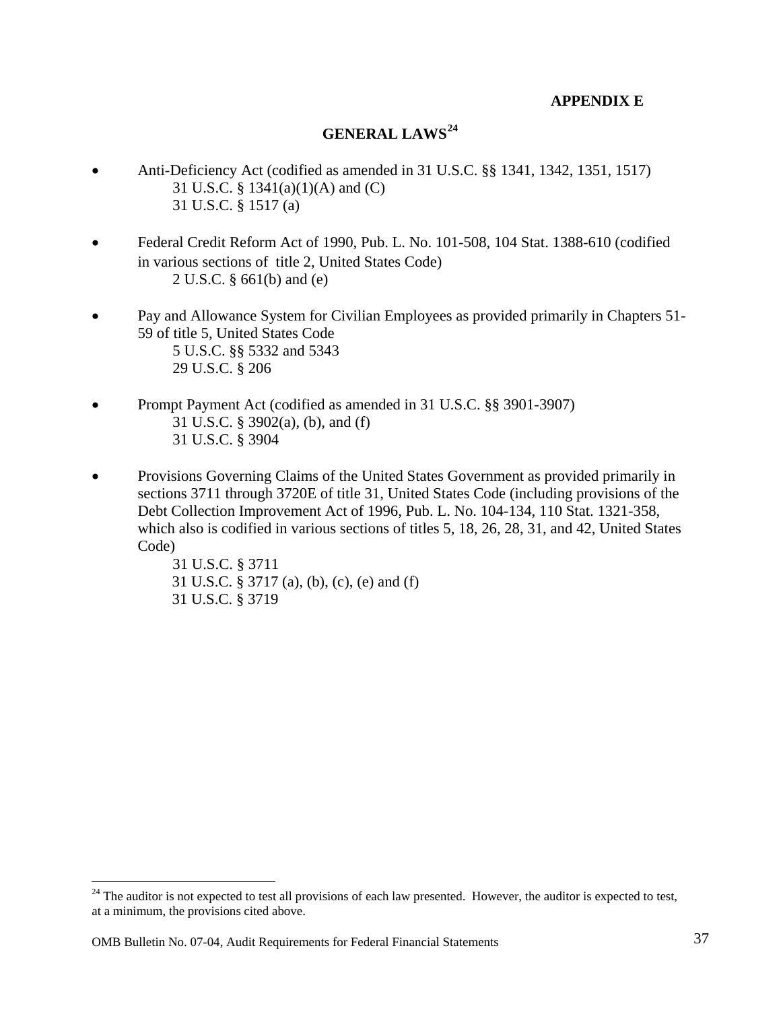#### **APPENDIX E**

#### **GENERAL LAWS[24](#page-37-1)**

- <span id="page-37-0"></span>• Anti-Deficiency Act (codified as amended in 31 U.S.C. §§ 1341, 1342, 1351, 1517) 31 U.S.C. § 1341(a)(1)(A) and (C) 31 U.S.C. § 1517 (a)
- Federal Credit Reform Act of 1990, Pub. L. No. 101-508, 104 Stat. 1388-610 (codified in various sections of title 2, United States Code) 2 U.S.C. § 661(b) and (e)
- Pay and Allowance System for Civilian Employees as provided primarily in Chapters 51- 59 of title 5, United States Code 5 U.S.C. §§ 5332 and 5343 29 U.S.C. § 206
- Prompt Payment Act (codified as amended in 31 U.S.C. §§ 3901-3907) 31 U.S.C. § 3902(a), (b), and (f) 31 U.S.C. § 3904
- Provisions Governing Claims of the United States Government as provided primarily in sections 3711 through 3720E of title 31, United States Code (including provisions of the Debt Collection Improvement Act of 1996, Pub. L. No. 104-134, 110 Stat. 1321-358, which also is codified in various sections of titles 5, 18, 26, 28, 31, and 42, United States Code)

31 U.S.C. § 3711 31 U.S.C. § 3717 (a), (b), (c), (e) and (f) 31 U.S.C. § 3719

 $\overline{a}$ 

<span id="page-37-1"></span> $24$  The auditor is not expected to test all provisions of each law presented. However, the auditor is expected to test, at a minimum, the provisions cited above.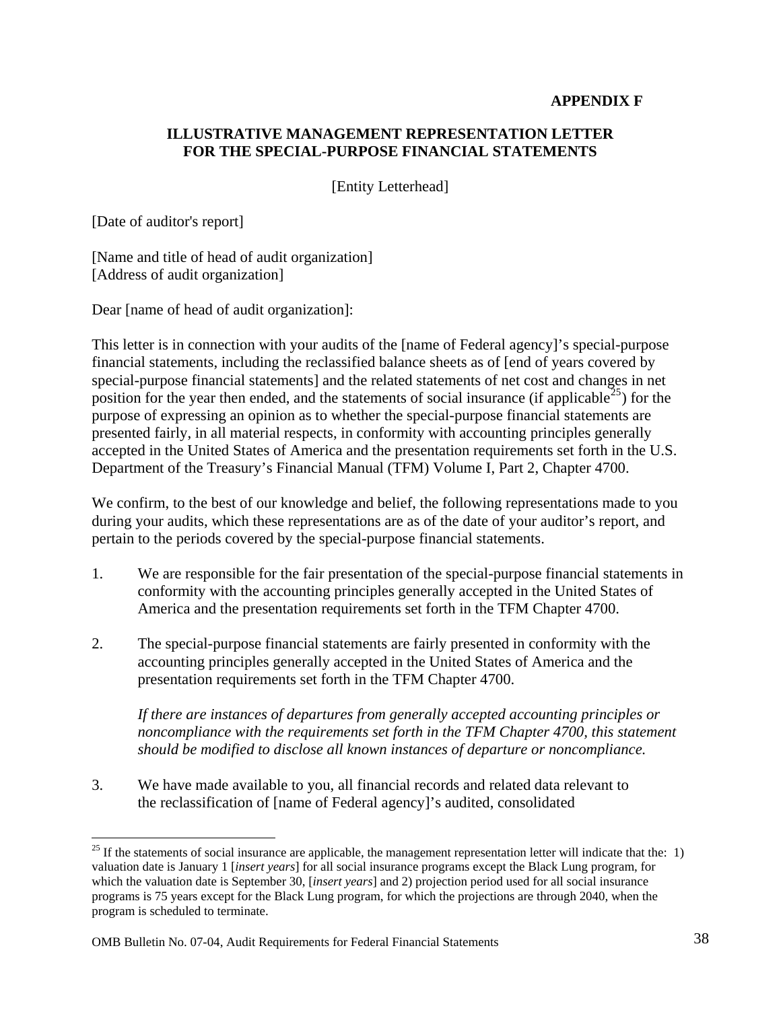#### **APPENDIX F**

#### <span id="page-38-0"></span>**ILLUSTRATIVE MANAGEMENT REPRESENTATION LETTER FOR THE SPECIAL-PURPOSE FINANCIAL STATEMENTS**

[Entity Letterhead]

[Date of auditor's report]

 $\overline{a}$ 

[Name and title of head of audit organization] [Address of audit organization]

Dear [name of head of audit organization]:

This letter is in connection with your audits of the [name of Federal agency]'s special-purpose financial statements, including the reclassified balance sheets as of [end of years covered by special-purpose financial statements] and the related statements of net cost and changes in net position for the year then ended, and the statements of social insurance (if applicable<sup>[25](#page-38-1)</sup>) for the purpose of expressing an opinion as to whether the special-purpose financial statements are presented fairly, in all material respects, in conformity with accounting principles generally accepted in the United States of America and the presentation requirements set forth in the U.S. Department of the Treasury's Financial Manual (TFM) Volume I, Part 2, Chapter 4700.

We confirm, to the best of our knowledge and belief, the following representations made to you during your audits, which these representations are as of the date of your auditor's report, and pertain to the periods covered by the special-purpose financial statements.

- 1. We are responsible for the fair presentation of the special-purpose financial statements in conformity with the accounting principles generally accepted in the United States of America and the presentation requirements set forth in the TFM Chapter 4700.
- 2. The special-purpose financial statements are fairly presented in conformity with the accounting principles generally accepted in the United States of America and the presentation requirements set forth in the TFM Chapter 4700.

*If there are instances of departures from generally accepted accounting principles or noncompliance with the requirements set forth in the TFM Chapter 4700, this statement should be modified to disclose all known instances of departure or noncompliance.* 

3. We have made available to you, all financial records and related data relevant to the reclassification of [name of Federal agency]'s audited, consolidated

<span id="page-38-1"></span> $25$  If the statements of social insurance are applicable, the management representation letter will indicate that the: 1) valuation date is January 1 [*insert years*] for all social insurance programs except the Black Lung program, for which the valuation date is September 30, [*insert years*] and 2) projection period used for all social insurance programs is 75 years except for the Black Lung program, for which the projections are through 2040, when the program is scheduled to terminate.

OMB Bulletin No. 07-04, Audit Requirements for Federal Financial Statements 38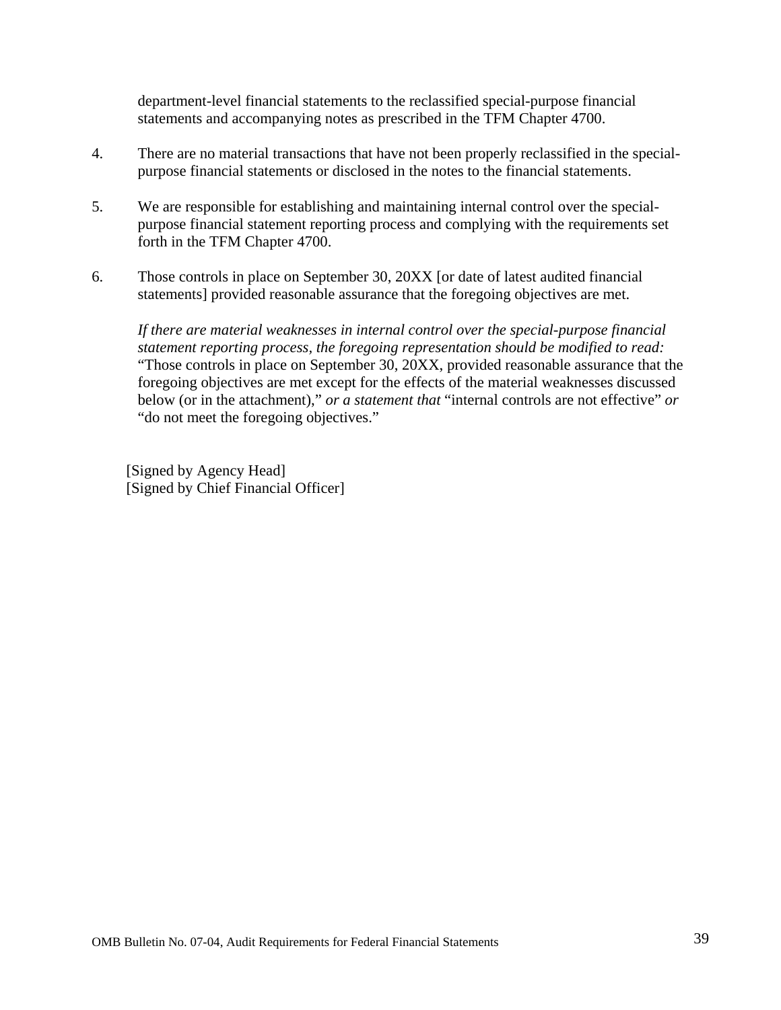department-level financial statements to the reclassified special-purpose financial statements and accompanying notes as prescribed in the TFM Chapter 4700.

- 4. There are no material transactions that have not been properly reclassified in the specialpurpose financial statements or disclosed in the notes to the financial statements.
- 5. We are responsible for establishing and maintaining internal control over the specialpurpose financial statement reporting process and complying with the requirements set forth in the TFM Chapter 4700.
- 6. Those controls in place on September 30, 20XX [or date of latest audited financial statements] provided reasonable assurance that the foregoing objectives are met.

*If there are material weaknesses in internal control over the special-purpose financial statement reporting process, the foregoing representation should be modified to read:*  "Those controls in place on September 30, 20XX, provided reasonable assurance that the foregoing objectives are met except for the effects of the material weaknesses discussed below (or in the attachment)," *or a statement that* "internal controls are not effective" *or*  "do not meet the foregoing objectives."

[Signed by Agency Head] [Signed by Chief Financial Officer]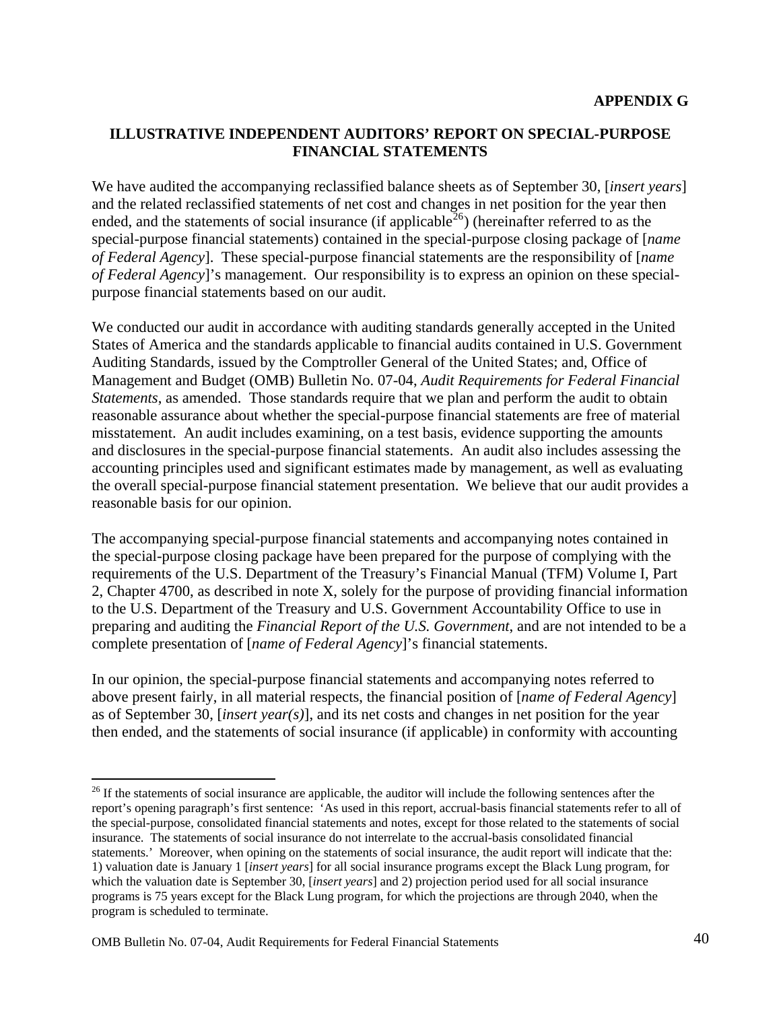#### <span id="page-40-0"></span>**ILLUSTRATIVE INDEPENDENT AUDITORS' REPORT ON SPECIAL-PURPOSE FINANCIAL STATEMENTS**

We have audited the accompanying reclassified balance sheets as of September 30, [*insert years*] and the related reclassified statements of net cost and changes in net position for the year then ended, and the statements of social insurance (if applicable  $^{26}$  $^{26}$  $^{26}$ ) (hereinafter referred to as the special-purpose financial statements) contained in the special-purpose closing package of [*name of Federal Agency*]. These special-purpose financial statements are the responsibility of [*name of Federal Agency*]'s management. Our responsibility is to express an opinion on these specialpurpose financial statements based on our audit.

We conducted our audit in accordance with auditing standards generally accepted in the United States of America and the standards applicable to financial audits contained in U.S. Government Auditing Standards, issued by the Comptroller General of the United States; and, Office of Management and Budget (OMB) Bulletin No. 07-04, *Audit Requirements for Federal Financial Statements*, as amended. Those standards require that we plan and perform the audit to obtain reasonable assurance about whether the special-purpose financial statements are free of material misstatement. An audit includes examining, on a test basis, evidence supporting the amounts and disclosures in the special-purpose financial statements. An audit also includes assessing the accounting principles used and significant estimates made by management, as well as evaluating the overall special-purpose financial statement presentation. We believe that our audit provides a reasonable basis for our opinion.

The accompanying special-purpose financial statements and accompanying notes contained in the special-purpose closing package have been prepared for the purpose of complying with the requirements of the U.S. Department of the Treasury's Financial Manual (TFM) Volume I, Part 2, Chapter 4700, as described in note X, solely for the purpose of providing financial information to the U.S. Department of the Treasury and U.S. Government Accountability Office to use in preparing and auditing the *Financial Report of the U.S. Government*, and are not intended to be a complete presentation of [*name of Federal Agency*]'s financial statements.

In our opinion, the special-purpose financial statements and accompanying notes referred to above present fairly, in all material respects, the financial position of [*name of Federal Agency*] as of September 30, [*insert year(s)*], and its net costs and changes in net position for the year then ended, and the statements of social insurance (if applicable) in conformity with accounting

 $\overline{a}$ 

<span id="page-40-1"></span><sup>&</sup>lt;sup>26</sup> If the statements of social insurance are applicable, the auditor will include the following sentences after the report's opening paragraph's first sentence: 'As used in this report, accrual-basis financial statements refer to all of the special-purpose, consolidated financial statements and notes, except for those related to the statements of social insurance. The statements of social insurance do not interrelate to the accrual-basis consolidated financial statements.' Moreover, when opining on the statements of social insurance, the audit report will indicate that the: 1) valuation date is January 1 [*insert years*] for all social insurance programs except the Black Lung program, for which the valuation date is September 30, [*insert years*] and 2) projection period used for all social insurance programs is 75 years except for the Black Lung program, for which the projections are through 2040, when the program is scheduled to terminate.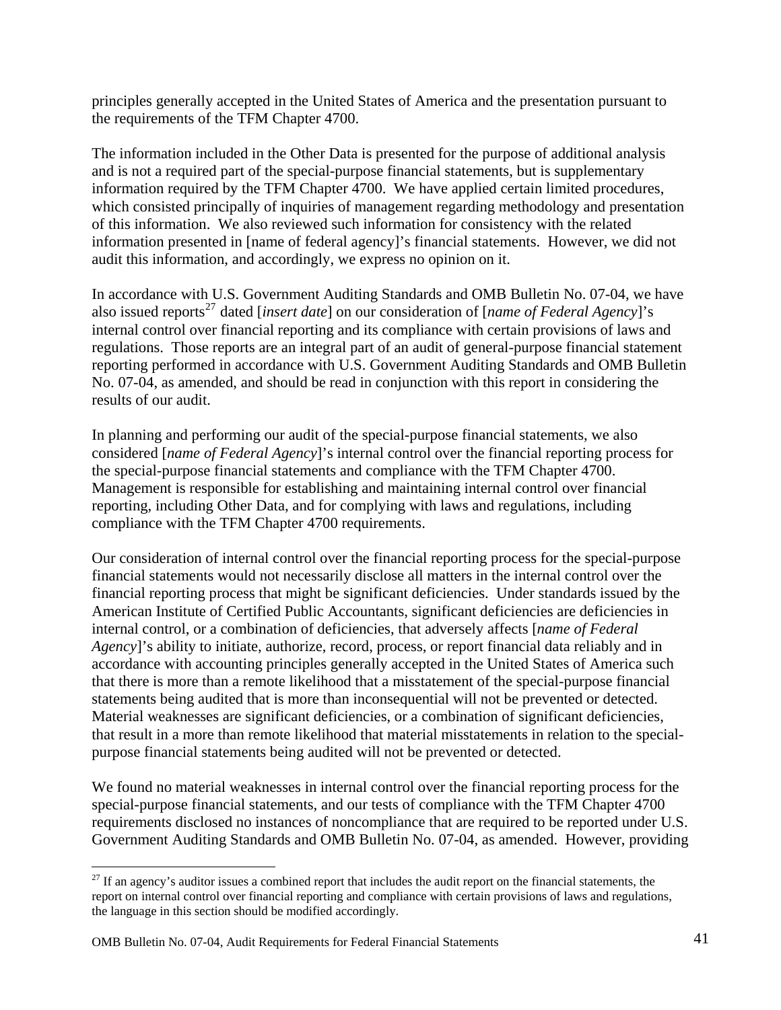principles generally accepted in the United States of America and the presentation pursuant to the requirements of the TFM Chapter 4700.

The information included in the Other Data is presented for the purpose of additional analysis and is not a required part of the special-purpose financial statements, but is supplementary information required by the TFM Chapter 4700. We have applied certain limited procedures, which consisted principally of inquiries of management regarding methodology and presentation of this information. We also reviewed such information for consistency with the related information presented in [name of federal agency]'s financial statements. However, we did not audit this information, and accordingly, we express no opinion on it.

In accordance with U.S. Government Auditing Standards and OMB Bulletin No. 07-04, we have also issued reports<sup>[27](#page-41-0)</sup> dated [*insert date*] on our consideration of [*name of Federal Agency*]'s internal control over financial reporting and its compliance with certain provisions of laws and regulations. Those reports are an integral part of an audit of general-purpose financial statement reporting performed in accordance with U.S. Government Auditing Standards and OMB Bulletin No. 07-04, as amended, and should be read in conjunction with this report in considering the results of our audit.

In planning and performing our audit of the special-purpose financial statements, we also considered [*name of Federal Agency*]'s internal control over the financial reporting process for the special-purpose financial statements and compliance with the TFM Chapter 4700. Management is responsible for establishing and maintaining internal control over financial reporting, including Other Data, and for complying with laws and regulations, including compliance with the TFM Chapter 4700 requirements.

Our consideration of internal control over the financial reporting process for the special-purpose financial statements would not necessarily disclose all matters in the internal control over the financial reporting process that might be significant deficiencies. Under standards issued by the American Institute of Certified Public Accountants, significant deficiencies are deficiencies in internal control, or a combination of deficiencies, that adversely affects [*name of Federal Agency*]'s ability to initiate, authorize, record, process, or report financial data reliably and in accordance with accounting principles generally accepted in the United States of America such that there is more than a remote likelihood that a misstatement of the special-purpose financial statements being audited that is more than inconsequential will not be prevented or detected. Material weaknesses are significant deficiencies, or a combination of significant deficiencies, that result in a more than remote likelihood that material misstatements in relation to the specialpurpose financial statements being audited will not be prevented or detected.

We found no material weaknesses in internal control over the financial reporting process for the special-purpose financial statements, and our tests of compliance with the TFM Chapter 4700 requirements disclosed no instances of noncompliance that are required to be reported under U.S. Government Auditing Standards and OMB Bulletin No. 07-04, as amended. However, providing

 $\overline{a}$ 

<span id="page-41-0"></span> $27$  If an agency's auditor issues a combined report that includes the audit report on the financial statements, the report on internal control over financial reporting and compliance with certain provisions of laws and regulations, the language in this section should be modified accordingly.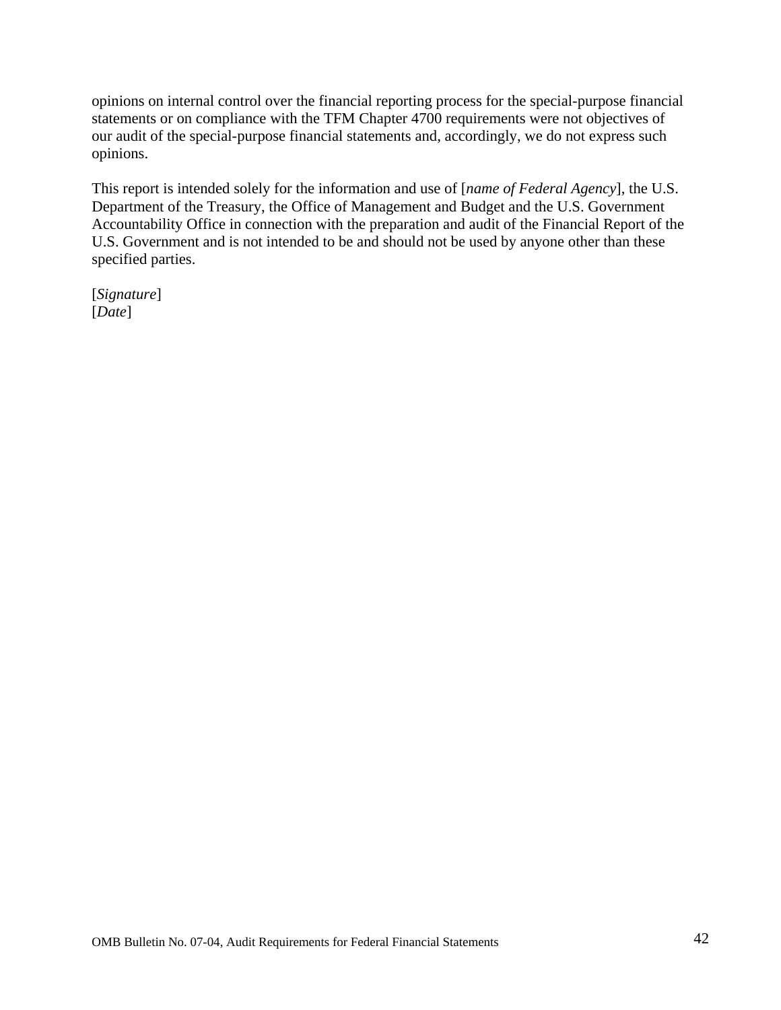opinions on internal control over the financial reporting process for the special-purpose financial statements or on compliance with the TFM Chapter 4700 requirements were not objectives of our audit of the special-purpose financial statements and, accordingly, we do not express such opinions.

This report is intended solely for the information and use of [*name of Federal Agency*], the U.S. Department of the Treasury, the Office of Management and Budget and the U.S. Government Accountability Office in connection with the preparation and audit of the Financial Report of the U.S. Government and is not intended to be and should not be used by anyone other than these specified parties.

[*Signature*] [*Date*]